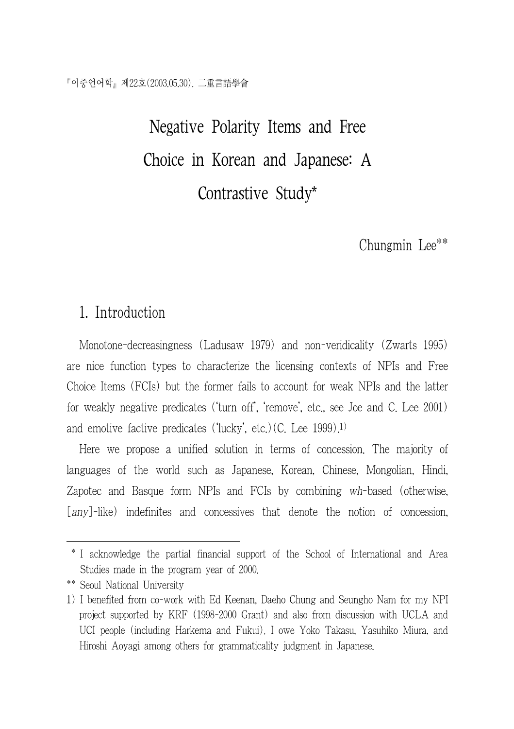Negative Polarity Items and Free Choice in Korean and Japanese: A Contrastive Study\*

Chungmin Lee\*\*

## 1. Introduction

Monotone-decreasingness (Ladusaw 1979) and non-veridicality (Zwarts 1995) are nice function types to characterize the licensing contexts of NPIs and Free Choice Items (FCIs) but the former fails to account for weak NPIs and the latter for weakly negative predicates ('turn off', 'remove', etc., see Joe and C. Lee 2001) and emotive factive predicates ('lucky', etc.)(C. Lee 1999).1)

Here we propose a unified solution in terms of concession. The majority of languages of the world such as Japanese, Korean, Chinese, Mongolian, Hindi, Zapotec and Basque form NPIs and FCIs by combining wh-based (otherwise, [any]-like) indefinites and concessives that denote the notion of concession,

 <sup>\*</sup> I acknowledge the partial financial support of the School of International and Area Studies made in the program year of 2000.

<sup>\*\*</sup> Seoul National University

<sup>1)</sup> I benefited from co-work with Ed Keenan, Daeho Chung and Seungho Nam for my NPI project supported by KRF (1998-2000 Grant) and also from discussion with UCLA and UCI people (including Harkema and Fukui). I owe Yoko Takasu, Yasuhiko Miura, and Hiroshi Aoyagi among others for grammaticality judgment in Japanese.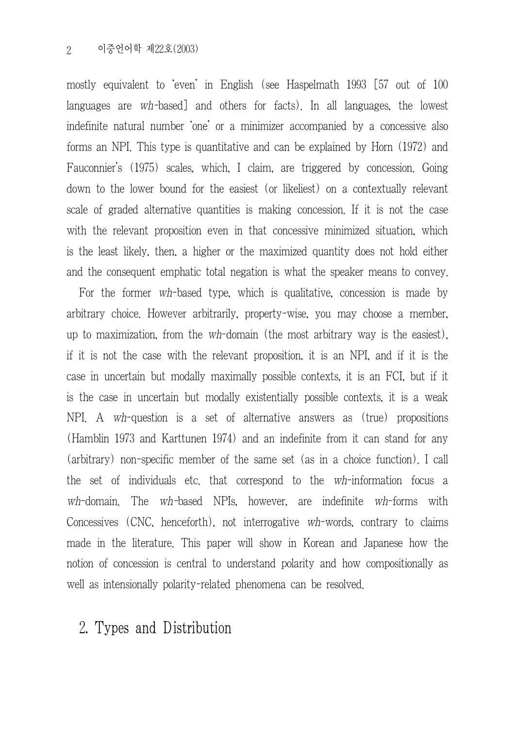mostly equivalent to 'even' in English (see Haspelmath 1993 [57 out of 100 languages are wh-based] and others for facts). In all languages, the lowest indefinite natural number 'one' or a minimizer accompanied by a concessive also forms an NPI. This type is quantitative and can be explained by Horn (1972) and Fauconnier's (1975) scales, which, I claim, are triggered by concession. Going down to the lower bound for the easiest (or likeliest) on a contextually relevant scale of graded alternative quantities is making concession. If it is not the case with the relevant proposition even in that concessive minimized situation, which is the least likely, then, a higher or the maximized quantity does not hold either and the consequent emphatic total negation is what the speaker means to convey.

For the former wh-based type, which is qualitative, concession is made by arbitrary choice. However arbitrarily, property-wise, you may choose a member, up to maximization, from the wh-domain (the most arbitrary way is the easiest), if it is not the case with the relevant proposition, it is an NPI, and if it is the case in uncertain but modally maximally possible contexts, it is an FCI, but if it is the case in uncertain but modally existentially possible contexts, it is a weak NPI. A wh-question is a set of alternative answers as (true) propositions (Hamblin 1973 and Karttunen 1974) and an indefinite from it can stand for any (arbitrary) non-specific member of the same set (as in a choice function). I call the set of individuals etc. that correspond to the wh-information focus a wh-domain. The wh-based NPIs, however, are indefinite wh-forms with Concessives (CNC, henceforth), not interrogative wh-words, contrary to claims made in the literature. This paper will show in Korean and Japanese how the notion of concession is central to understand polarity and how compositionally as well as intensionally polarity-related phenomena can be resolved.

# 2. Types and Distribution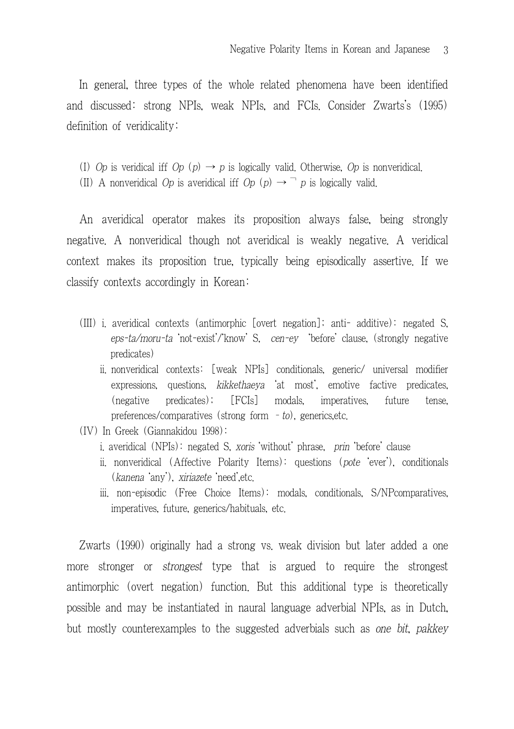In general, three types of the whole related phenomena have been identified and discussed: strong NPIs, weak NPIs, and FCIs. Consider Zwarts's (1995) definition of veridicality:

(I) Op is veridical iff Op  $(p) \rightarrow p$  is logically valid. Otherwise, Op is nonveridical.

(II) A nonveridical Op is averidical iff Op  $(p) \rightarrow \neg p$  is logically valid.

An averidical operator makes its proposition always false, being strongly negative. A nonveridical though not averidical is weakly negative. A veridical context makes its proposition true, typically being episodically assertive. If we classify contexts accordingly in Korean:

- (III) i. averidical contexts (antimorphic [overt negation]; anti- additive): negated S, eps-ta/moru-ta 'not-exist'/'know' S, cen-ey 'before' clause, (strongly negative predicates)
	- ii. nonveridical contexts: [weak NPIs] conditionals, generic/ universal modifier expressions, questions, kikkethaeya 'at most', emotive factive predicates, (negative predicates); [FCIs] modals, imperatives, future tense, preferences/comparatives (strong form  $-$  to), generics, etc.
- (IV) In Greek (Giannakidou 1998):
	- i. averidical (NPIs): negated S, xoris 'without' phrase, prin 'before' clause
	- ii. nonveridical (Affective Polarity Items): questions (pote 'ever'), conditionals (kanena 'any'), xiriazete 'need',etc.
	- iii. non-episodic (Free Choice Items): modals, conditionals, S/NPcomparatives, imperatives, future, generics/habituals, etc.

Zwarts (1990) originally had a strong vs. weak division but later added a one more stronger or *strongest* type that is argued to require the strongest antimorphic (overt negation) function. But this additional type is theoretically possible and may be instantiated in naural language adverbial NPIs, as in Dutch, but mostly counterexamples to the suggested adverbials such as one bit, pakkey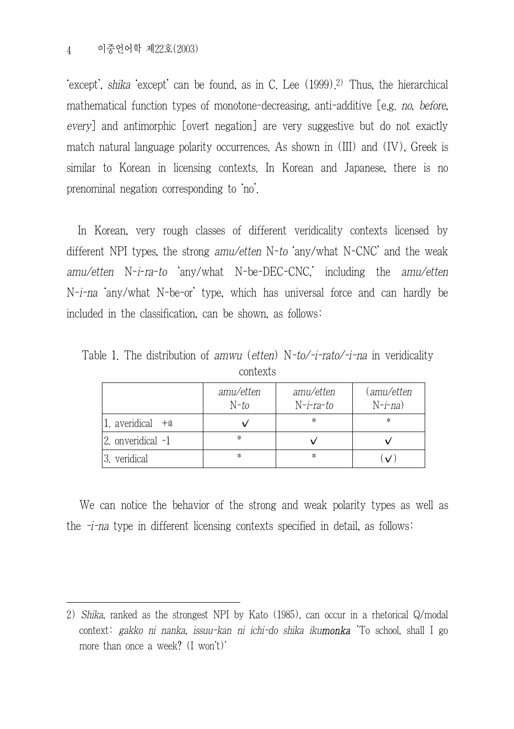'except', shika 'except' can be found, as in C. Lee (1999).2) Thus, the hierarchical mathematical function types of monotone-decreasing, anti-additive [e.g. no, before, every] and antimorphic [overt negation] are very suggestive but do not exactly match natural language polarity occurrences. As shown in (III) and (IV), Greek is similar to Korean in licensing contexts. In Korean and Japanese, there is no prenominal negation corresponding to 'no'.

In Korean, very rough classes of different veridicality contexts licensed by different NPI types, the strong amu/etten N-to 'any/what N-CNC' and the weak amu/etten N-i-ra-to 'any/what N-be-DEC-CNC,' including the amu/etten N-i-na 'any/what N-be-or' type, which has universal force and can hardly be included in the classification, can be shown, as follows:

|                      | amu/etten<br>$N$ -to | amu/etten<br>$N$ -i-ra-to | (amu/etten<br>$N-i-na)$ |
|----------------------|----------------------|---------------------------|-------------------------|
| $1.$ averidical $+a$ |                      | *                         | ∗                       |
| 2. onveridical -1    | *                    |                           |                         |
| 3. veridical         | *                    | ∗                         |                         |

Table 1. The distribution of amwu (etten) N-to/-i-rato/-i-na in veridicality contexts

We can notice the behavior of the strong and weak polarity types as well as the  $-i$ -na type in different licensing contexts specified in detail, as follows:

<sup>2)</sup> Shika, ranked as the strongest NPI by Kato (1985), can occur in a rhetorical Q/modal context: gakko ni nanka, issuu-kan ni ichi-do shika iku**monka** 'To school, shall I go more than once a week? (I won't)'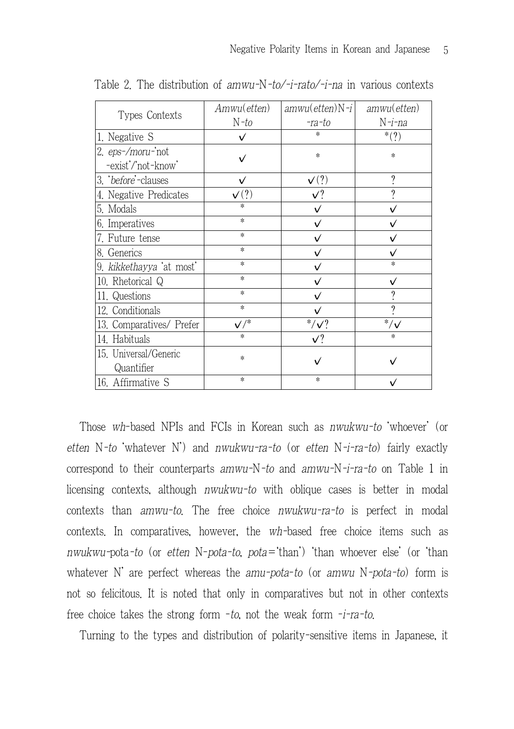| Types Contexts                          | Amwu(etten)     | $amwu(eiten)N-i$ | amwu(etten)     |
|-----------------------------------------|-----------------|------------------|-----------------|
|                                         | N-to            | -ra-to           | N-i-na          |
| 1. Negative S                           | V               | $\ast$           | $^{*}(?)$       |
| 2. eps-/moru-'not<br>-exist'/'not-know' | √               | $\ast$           | $\ast$          |
| 3. before'-clauses                      | ✓               | $\mathbf{v}(?)$  | 9               |
| 4. Negative Predicates                  | $\mathsf{v}(?)$ | V?               | 9               |
| 5. Modals                               | *               | ✓                | $\checkmark$    |
| 6. Imperatives                          | $\ast$          | ✓                | v               |
| 7. Future tense                         | $\ast$          |                  | ✓               |
| 8. Generics                             | $\ast$          | ✓                | ✓               |
| 9. kikkethayya 'at most'                | $\ast$          |                  | *               |
| 10. Rhetorical Q                        | $\ast$          |                  | ✓               |
| 11. Questions                           | $\ast$          | ✓                | 9               |
| 12. Conditionals                        | $\ast$          | ✓                | 9               |
| 13. Comparatives/ Prefer                | $\checkmark/^*$ | $*/\sqrt{?}$     | $^*/\checkmark$ |
| 14. Habituals                           | $\ast$          | V?               | $\ast$          |
| 15. Universal/Generic<br>Quantifier     | *               |                  |                 |
| 16. Affirmative S                       | $\ast$          | $\ast$           | ✓               |

Table 2. The distribution of amwu-N-to/-i-rato/-i-na in various contexts

Those wh-based NPIs and FCIs in Korean such as nwukwu-to 'whoever' (or etten N-to 'whatever N') and nwukwu-ra-to (or etten N-i-ra-to) fairly exactly correspond to their counterparts amwu-N-to and amwu-N-i-ra-to on Table 1 in licensing contexts, although nwukwu-to with oblique cases is better in modal contexts than amwu-to. The free choice nwukwu-ra-to is perfect in modal contexts. In comparatives, however, the wh-based free choice items such as nwukwu-pota-to (or etten N-pota-to, pota='than') 'than whoever else' (or 'than whatever N' are perfect whereas the amu-pota-to (or amwu  $N$ -pota-to) form is not so felicitous. It is noted that only in comparatives but not in other contexts free choice takes the strong form -to, not the weak form -i-ra-to.

Turning to the types and distribution of polarity-sensitive items in Japanese, it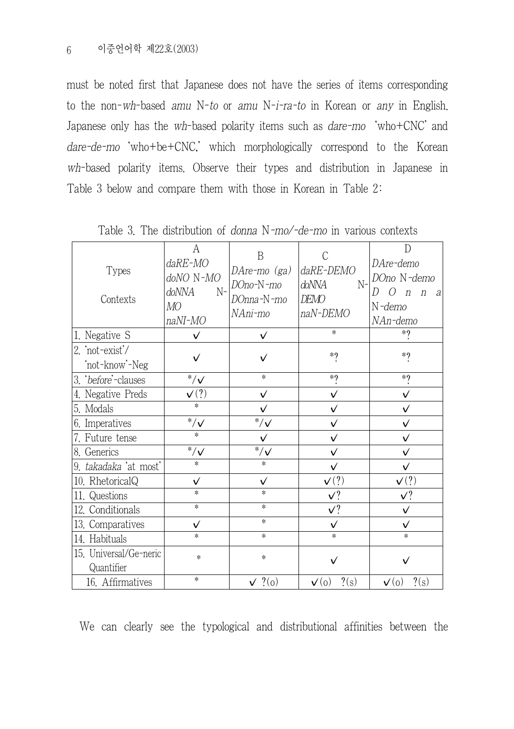must be noted first that Japanese does not have the series of items corresponding to the non-wh-based amu N-to or amu N-i-ra-to in Korean or any in English. Japanese only has the wh-based polarity items such as dare-mo 'who+CNC' and dare-de-mo 'who+be+CNC,' which morphologically correspond to the Korean wh-based polarity items. Observe their types and distribution in Japanese in Table 3 below and compare them with those in Korean in Table 2:

| <b>Types</b><br>Contexts             | А<br>daRE-MO<br>doNO N-MO<br>doNNA<br>$N-$<br>MО<br>naNI-MO | B<br>DAre-mo (ga)<br>DOno-N-mo<br>DOnna-N-mo<br>NAni-mo | C<br>daRE-DEMO<br>doNNA<br>$N-$<br>DEMO<br>naN-DEMO | D<br>DAre-demo<br>DOno N-demo<br>D<br>$\left( \right)$<br>$\boldsymbol{n}$<br>$\eta$<br><sub>a</sub><br>N-demo<br>NAn-demo |
|--------------------------------------|-------------------------------------------------------------|---------------------------------------------------------|-----------------------------------------------------|----------------------------------------------------------------------------------------------------------------------------|
| 1. Negative S                        | ✓                                                           | $\checkmark$                                            | *                                                   | $*$ ?                                                                                                                      |
| 2. 'not-exist'/<br>not-know'-Neg     | ✓                                                           | ✓                                                       | $*$ ?                                               | $*$ ?                                                                                                                      |
| 3. before'-clauses                   | $^*/\checkmark$                                             | $\ast$                                                  | $*$ ?                                               | $*$ ?                                                                                                                      |
| 4. Negative Preds                    | $\mathbf{v}(?)$                                             | ✓                                                       | $\checkmark$                                        | $\checkmark$                                                                                                               |
| 5. Modals                            | $\ast$                                                      | $\checkmark$                                            | $\checkmark$                                        | $\checkmark$                                                                                                               |
| 6. Imperatives                       | $\overline{\mathcal{N}}$                                    | $\sqrt[3]{\sqrt{2}}$                                    | $\checkmark$                                        | $\checkmark$                                                                                                               |
| 7. Future tense                      | *                                                           | $\checkmark$                                            | $\checkmark$                                        | $\checkmark$                                                                                                               |
| 8. Generics                          | $*_{/\checkmark}$                                           | $\overline{\overline{}}^*/\checkmark$                   | $\checkmark$                                        | ✓                                                                                                                          |
| 9. takadaka 'at most'                | *                                                           | $\ast$                                                  | $\checkmark$                                        | $\checkmark$                                                                                                               |
| 10. RhetoricalQ                      | ✓                                                           | $\checkmark$                                            | $\mathbf{v}(?)$                                     | $\mathsf{v}(?)$                                                                                                            |
| 11. Questions                        | *                                                           | $\ast$                                                  | V?                                                  | $\checkmark$ ?                                                                                                             |
| 12. Conditionals                     | $\ast$                                                      | $\ast$                                                  | $\sqrt{?}$                                          | $\checkmark$                                                                                                               |
| 13. Comparatives                     | $\checkmark$                                                | $\ast$                                                  | $\checkmark$                                        | $\checkmark$                                                                                                               |
| 14. Habituals                        | $\ast$                                                      | $\ast$                                                  | *                                                   | $\ast$                                                                                                                     |
| 15. Universal/Ge-neric<br>Quantifier | $\ast$                                                      | $\ast$                                                  |                                                     |                                                                                                                            |
| 16. Affirmatives                     | $\ast$                                                      | $\sqrt{?}$ (0)                                          | $?(\mathrm{s})$<br>$\mathbf{v}(0)$                  | $?({\rm s})$<br>$\mathbf{v}^{(0)}$                                                                                         |

Table 3. The distribution of donna N-mo/-de-mo in various contexts

We can clearly see the typological and distributional affinities between the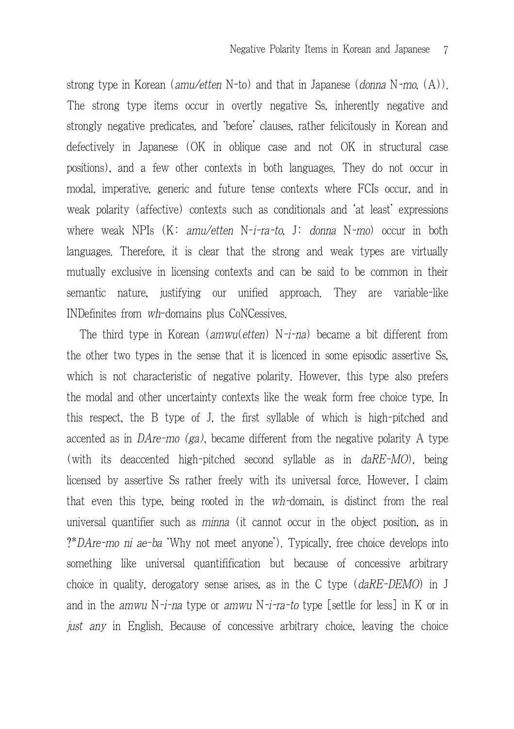strong type in Korean (amu/etten N-to) and that in Japanese (donna N-mo.  $(A)$ ). The strong type items occur in overtly negative Ss, inherently negative and strongly negative predicates, and 'before' clauses, rather felicitously in Korean and defectively in Japanese (OK in oblique case and not OK in structural case positions), and a few other contexts in both languages. They do not occur in modal, imperative, generic and future tense contexts where FCIs occur, and in weak polarity (affective) contexts such as conditionals and 'at least' expressions where weak NPIs  $(K: amu/etten N-i-ra-to, J: donna N-mo)$  occur in both languages. Therefore, it is clear that the strong and weak types are virtually mutually exclusive in licensing contexts and can be said to be common in their semantic nature, justifying our unified approach. They are variable-like INDefinites from wh-domains plus CoNCessives.

The third type in Korean  $(amwu(ethen)$  N-i-na) became a bit different from the other two types in the sense that it is licenced in some episodic assertive Ss, which is not characteristic of negative polarity. However, this type also prefers the modal and other uncertainty contexts like the weak form free choice type. In this respect, the B type of J, the first syllable of which is high-pitched and accented as in DAre-mo  $(ga)$ , became different from the negative polarity A type (with its deaccented high-pitched second syllable as in daRE-MO), being licensed by assertive Ss rather freely with its universal force. However, I claim that even this type, being rooted in the wh-domain, is distinct from the real universal quantifier such as minna (it cannot occur in the object position, as in ?\*DAre-mo ni ae-ba 'Why not meet anyone'). Typically, free choice develops into something like universal quantifification but because of concessive arbitrary choice in quality, derogatory sense arises, as in the C type (daRE-DEMO) in J and in the *amwu* N-*i-na* type or *amwu* N-*i-ra-to* type [settle for less] in K or in just any in English. Because of concessive arbitrary choice, leaving the choice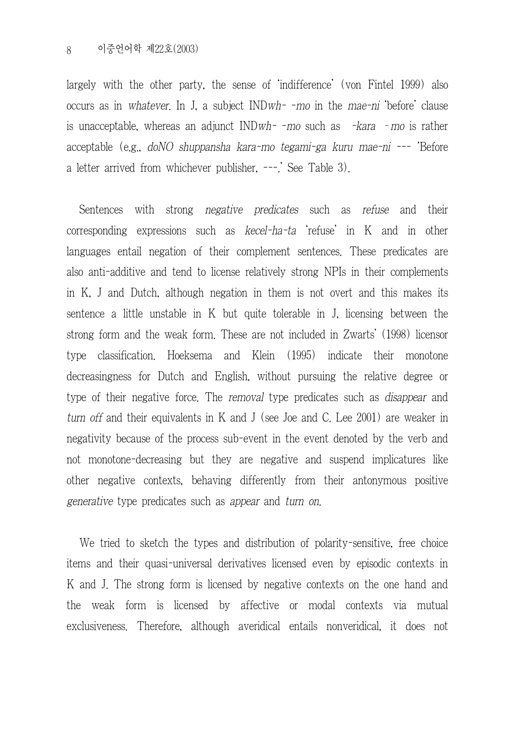largely with the other party, the sense of 'indifference' (von Fintel 1999) also occurs as in whatever. In J, a subject INDwh- -mo in the mae-ni 'before' clause is unacceptable, whereas an adjunct INDwh- -mo such as -kara –mo is rather acceptable (e.g., doNO shuppansha kara-mo tegami-ga kuru mae-ni --- 'Before a letter arrived from whichever publisher, ---.' See Table 3).

Sentences with strong *negative predicates* such as *refuse* and their corresponding expressions such as kecel-ha-ta 'refuse' in K and in other languages entail negation of their complement sentences. These predicates are also anti-additive and tend to license relatively strong NPIs in their complements in K, J and Dutch, although negation in them is not overt and this makes its sentence a little unstable in K but quite tolerable in J, licensing between the strong form and the weak form. These are not included in Zwarts' (1998) licensor type classification. Hoeksema and Klein (1995) indicate their monotone decreasingness for Dutch and English, without pursuing the relative degree or type of their negative force. The removal type predicates such as *disappear* and turn off and their equivalents in K and J (see Joe and C. Lee 2001) are weaker in negativity because of the process sub-event in the event denoted by the verb and not monotone-decreasing but they are negative and suspend implicatures like other negative contexts, behaving differently from their antonymous positive generative type predicates such as appear and turn on.

We tried to sketch the types and distribution of polarity-sensitive, free choice items and their quasi-universal derivatives licensed even by episodic contexts in K and J. The strong form is licensed by negative contexts on the one hand and the weak form is licensed by affective or modal contexts via mutual exclusiveness. Therefore, although averidical entails nonveridical, it does not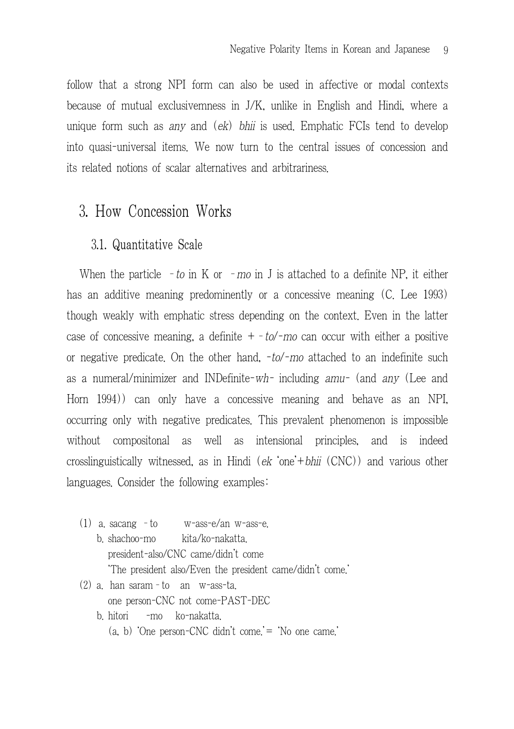follow that a strong NPI form can also be used in affective or modal contexts because of mutual exclusivemness in J/K, unlike in English and Hindi, where a unique form such as any and (ek) bhii is used. Emphatic FCIs tend to develop into quasi-universal items. We now turn to the central issues of concession and its related notions of scalar alternatives and arbitrariness.

# 3. How Concession Works

### 3.1. Quantitative Scale

When the particle – to in K or – mo in J is attached to a definite NP, it either has an additive meaning predominently or a concessive meaning (C. Lee 1993) though weakly with emphatic stress depending on the context. Even in the latter case of concessive meaning, a definite  $+$  -to/-mo can occur with either a positive or negative predicate. On the other hand,  $-to/-mo$  attached to an indefinite such as a numeral/minimizer and INDefinite-wh- including amu- (and any (Lee and Horn 1994)) can only have a concessive meaning and behave as an NPI, occurring only with negative predicates. This prevalent phenomenon is impossible without compositonal as well as intensional principles, and is indeed crosslinguistically witnessed, as in Hindi (ek 'one'+bhii (CNC)) and various other languages. Consider the following examples:

- (1) a. sacang –to w-ass-e/an w-ass-e.
	- b. shachoo-mo kita/ko-nakatta. president-also/CNC came/didn't come 'The president also/Even the president came/didn't come.'
- (2) a. han saram–to an w-ass-ta. one person-CNC not come-PAST-DEC
	- b. hitori -mo ko-nakatta. (a, b) 'One person-CNC didn't come.'= 'No one came.'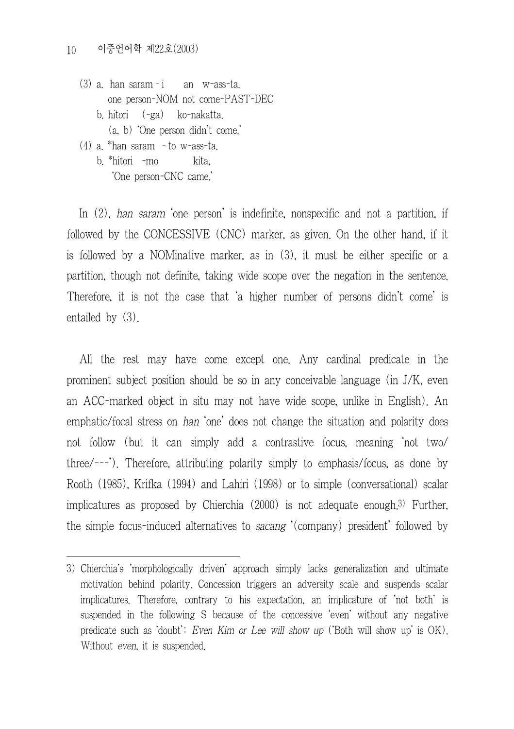- (3) a. han saram–i an w-ass-ta. one person-NOM not come-PAST-DEC b. hitori (-ga) ko-nakatta. (a, b) 'One person didn't come.'
- (4) a. \*han saram –to w-ass-ta. b. \*hitori -mo kita, 'One person-CNC came.'

In (2), han saram 'one person' is indefinite, nonspecific and not a partition, if followed by the CONCESSIVE (CNC) marker, as given. On the other hand, if it is followed by a NOMinative marker, as in (3), it must be either specific or a partition, though not definite, taking wide scope over the negation in the sentence. Therefore, it is not the case that 'a higher number of persons didn't come' is entailed by (3).

All the rest may have come except one. Any cardinal predicate in the prominent subject position should be so in any conceivable language (in J/K, even an ACC-marked object in situ may not have wide scope, unlike in English). An emphatic/focal stress on han 'one' does not change the situation and polarity does not follow (but it can simply add a contrastive focus, meaning 'not two/ three/---'). Therefore, attributing polarity simply to emphasis/focus, as done by Rooth (1985), Krifka (1994) and Lahiri (1998) or to simple (conversational) scalar implicatures as proposed by Chierchia (2000) is not adequate enough.3) Further, the simple focus-induced alternatives to sacang '(company) president' followed by

<sup>3)</sup> Chierchia's 'morphologically driven' approach simply lacks generalization and ultimate motivation behind polarity. Concession triggers an adversity scale and suspends scalar implicatures. Therefore, contrary to his expectation, an implicature of 'not both' is suspended in the following S because of the concessive 'even' without any negative predicate such as 'doubt': Even Kim or Lee will show up ('Both will show up' is OK). Without *even*, it is suspended.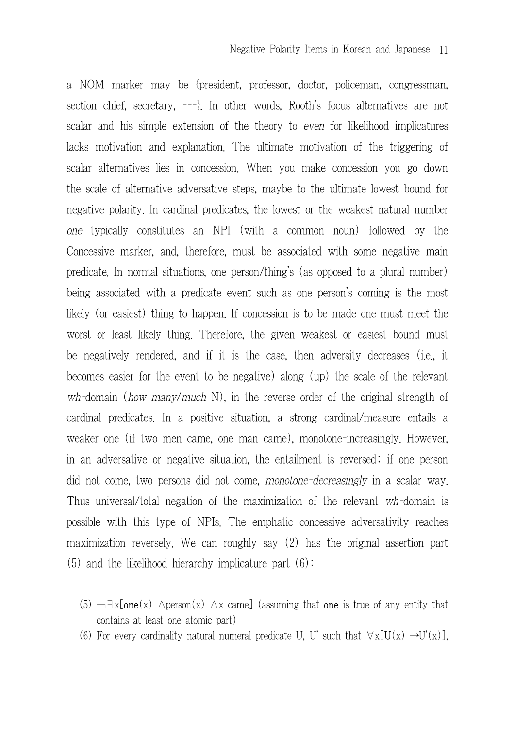a NOM marker may be {president, professor, doctor, policeman, congressman, section chief, secretary, ---}. In other words, Rooth's focus alternatives are not scalar and his simple extension of the theory to even for likelihood implicatures lacks motivation and explanation. The ultimate motivation of the triggering of scalar alternatives lies in concession. When you make concession you go down the scale of alternative adversative steps, maybe to the ultimate lowest bound for negative polarity. In cardinal predicates, the lowest or the weakest natural number one typically constitutes an NPI (with a common noun) followed by the Concessive marker, and, therefore, must be associated with some negative main predicate. In normal situations, one person/thing's (as opposed to a plural number) being associated with a predicate event such as one person's coming is the most likely (or easiest) thing to happen. If concession is to be made one must meet the worst or least likely thing. Therefore, the given weakest or easiest bound must be negatively rendered, and if it is the case, then adversity decreases (i.e., it becomes easier for the event to be negative) along (up) the scale of the relevant wh-domain (how many/much N), in the reverse order of the original strength of cardinal predicates. In a positive situation, a strong cardinal/measure entails a weaker one (if two men came, one man came), monotone-increasingly. However, in an adversative or negative situation, the entailment is reversed; if one person did not come, two persons did not come, monotone-decreasingly in a scalar way. Thus universal/total negation of the maximization of the relevant wh-domain is possible with this type of NPIs. The emphatic concessive adversativity reaches maximization reversely. We can roughly say (2) has the original assertion part  $(5)$  and the likelihood hierarchy implicature part  $(6)$ :

- $(5)$   $\neg \exists x$ [one(x)  $\land$  person(x)  $\land x$  came] (assuming that one is true of any entity that contains at least one atomic part)
- (6) For every cardinality natural numeral predicate U, U' such that  $\forall x$ [U(x)  $\rightarrow$ U'(x)],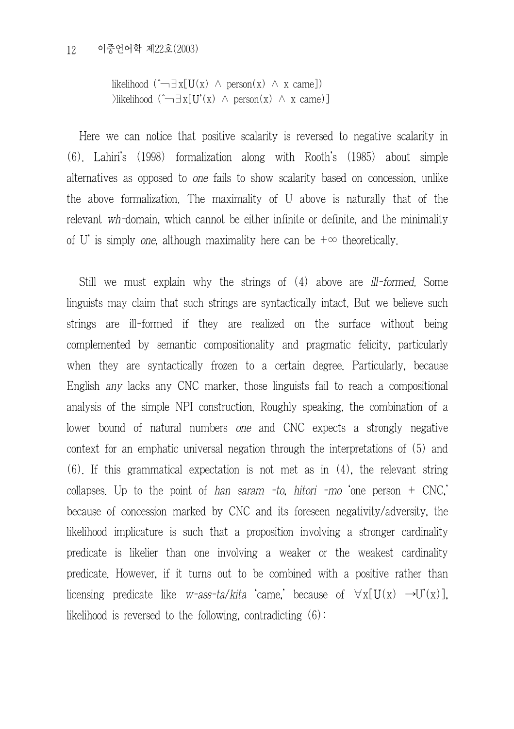```
likelihood (\hat{\neg} \exists x[U(x) \land person(x) \land x came])
\exists x[U'(x) ∧ person(x) ∧ x came)]
```
Here we can notice that positive scalarity is reversed to negative scalarity in (6). Lahiri's (1998) formalization along with Rooth's (1985) about simple alternatives as opposed to one fails to show scalarity based on concession, unlike the above formalization. The maximality of U above is naturally that of the relevant wh-domain, which cannot be either infinite or definite, and the minimality of U' is simply one, although maximality here can be  $+\infty$  theoretically.

Still we must explain why the strings of (4) above are *ill-formed*. Some linguists may claim that such strings are syntactically intact. But we believe such strings are ill-formed if they are realized on the surface without being complemented by semantic compositionality and pragmatic felicity, particularly when they are syntactically frozen to a certain degree. Particularly, because English any lacks any CNC marker, those linguists fail to reach a compositional analysis of the simple NPI construction. Roughly speaking, the combination of a lower bound of natural numbers one and CNC expects a strongly negative context for an emphatic universal negation through the interpretations of (5) and (6). If this grammatical expectation is not met as in (4), the relevant string collapses. Up to the point of han saram -to, hitori -mo one person  $+$  CNC. because of concession marked by CNC and its foreseen negativity/adversity, the likelihood implicature is such that a proposition involving a stronger cardinality predicate is likelier than one involving a weaker or the weakest cardinality predicate. However, if it turns out to be combined with a positive rather than licensing predicate like w-ass-ta/kita 'came,' because of  $\forall x [U(x) \rightarrow U'(x)]$ , likelihood is reversed to the following, contradicting  $(6)$ :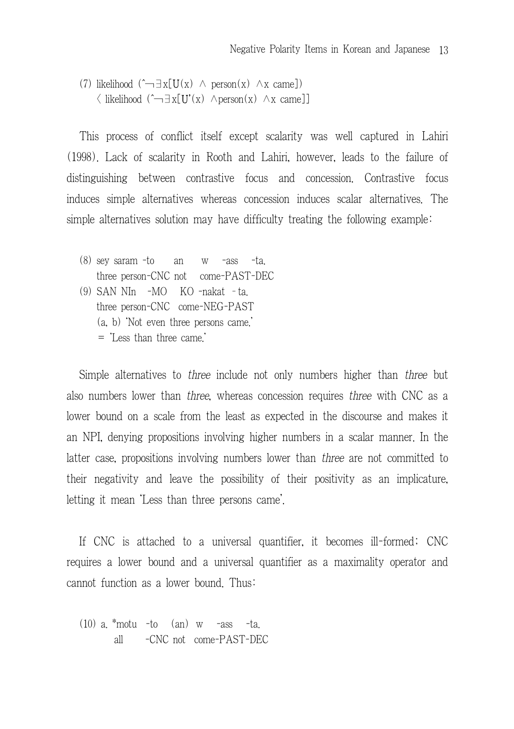(7) likelihood  $(\hat{\neg} \exists x [U(x) \land \text{person}(x) \land x \text{ came}])$  $\langle$  likelihood  $(\hat{\neg} \exists x [U'(x) \land \text{person}(x) \land x \text{ came}])$ 

This process of conflict itself except scalarity was well captured in Lahiri (1998). Lack of scalarity in Rooth and Lahiri, however, leads to the failure of distinguishing between contrastive focus and concession. Contrastive focus induces simple alternatives whereas concession induces scalar alternatives. The simple alternatives solution may have difficulty treating the following example:

- (8) sey saram -to an w -ass -ta. three person-CNC not come-PAST-DEC (9) SAN NIn -MO KO -nakat –ta. three person-CNC come-NEG-PAST (a, b) 'Not even three persons came.'
	- = 'Less than three came.'

Simple alternatives to three include not only numbers higher than three but also numbers lower than three, whereas concession requires three with CNC as a lower bound on a scale from the least as expected in the discourse and makes it an NPI, denying propositions involving higher numbers in a scalar manner. In the latter case, propositions involving numbers lower than three are not committed to their negativity and leave the possibility of their positivity as an implicature, letting it mean 'Less than three persons came'.

If CNC is attached to a universal quantifier, it becomes ill-formed; CNC requires a lower bound and a universal quantifier as a maximality operator and cannot function as a lower bound. Thus:

 $(10)$  a  $*$ motu -to  $(an)$  w -ass -ta. all -CNC not come-PAST-DEC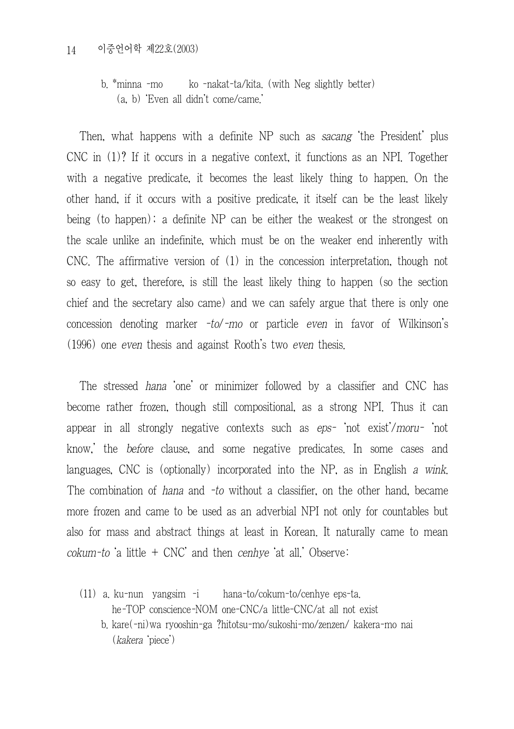#### 14 이중언어학 제22호(2003)

b. \*minna -mo ko -nakat-ta/kita. (with Neg slightly better) (a, b) 'Even all didn't come/came.'

Then, what happens with a definite NP such as sacang 'the President' plus CNC in (1)? If it occurs in a negative context, it functions as an NPI. Together with a negative predicate, it becomes the least likely thing to happen. On the other hand, if it occurs with a positive predicate, it itself can be the least likely being (to happen); a definite NP can be either the weakest or the strongest on the scale unlike an indefinite, which must be on the weaker end inherently with CNC. The affirmative version of (1) in the concession interpretation, though not so easy to get, therefore, is still the least likely thing to happen (so the section chief and the secretary also came) and we can safely argue that there is only one concession denoting marker  $-to$ -mo or particle even in favor of Wilkinson's (1996) one even thesis and against Rooth's two even thesis.

The stressed hana 'one' or minimizer followed by a classifier and CNC has become rather frozen, though still compositional, as a strong NPI. Thus it can appear in all strongly negative contexts such as eps- 'not exist'/moru- 'not know,' the before clause, and some negative predicates. In some cases and languages, CNC is (optionally) incorporated into the NP, as in English a wink. The combination of hana and -to without a classifier, on the other hand, became more frozen and came to be used as an adverbial NPI not only for countables but also for mass and abstract things at least in Korean. It naturally came to mean  $cokum-to$  'a little  $+$  CNC' and then  $cenbye$  'at all.' Observe:

- (11) a. ku-nun yangsim -i hana-to/cokum-to/cenhye eps-ta. he-TOP conscience-NOM one-CNC/a little-CNC/at all not exist b. kare(-ni)wa ryooshin-ga ?hitotsu-mo/sukoshi-mo/zenzen/ kakera-mo nai
	- (kakera 'piece')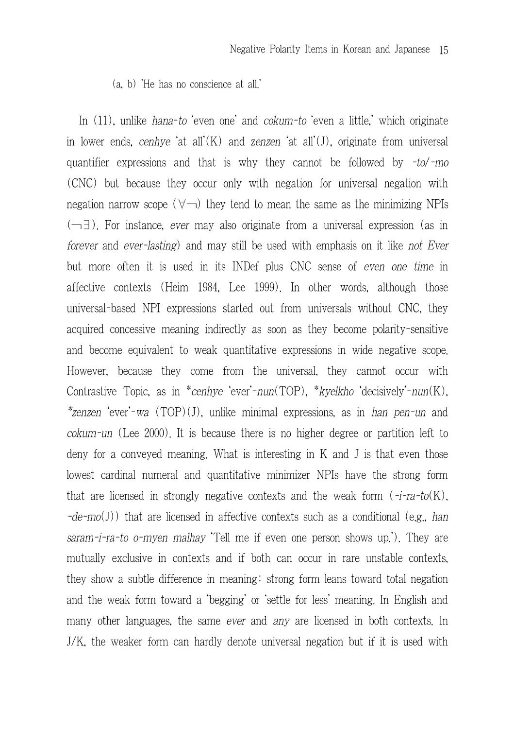(a, b) 'He has no conscience at all.'

In (11), unlike *hana-to* even one' and *cokum-to* even a little,' which originate in lower ends, cenhye 'at all'(K) and zenzen 'at all'(J), originate from universal quantifier expressions and that is why they cannot be followed by -to/-mo (CNC) but because they occur only with negation for universal negation with negation narrow scope ( $\forall$ ) they tend to mean the same as the minimizing NPIs (¬∃). For instance, ever may also originate from a universal expression (as in forever and ever-lasting) and may still be used with emphasis on it like not Ever but more often it is used in its INDef plus CNC sense of even one time in affective contexts (Heim 1984, Lee 1999). In other words, although those universal-based NPI expressions started out from universals without CNC, they acquired concessive meaning indirectly as soon as they become polarity-sensitive and become equivalent to weak quantitative expressions in wide negative scope. However, because they come from the universal, they cannot occur with Contrastive Topic, as in \*cenhye 'ever'-nun(TOP), \*kyelkho 'decisively'-nun(K), \*zenzen 'ever'-wa (TOP)(J), unlike minimal expressions, as in han pen-un and cokum-un (Lee 2000). It is because there is no higher degree or partition left to deny for a conveyed meaning. What is interesting in K and J is that even those lowest cardinal numeral and quantitative minimizer NPIs have the strong form that are licensed in strongly negative contexts and the weak form  $(-i\tau a-to(K))$ .  $-de-mo(J)$ ) that are licensed in affective contexts such as a conditional (e.g., han saram-i-ra-to o-myen malhay 'Tell me if even one person shows up.'). They are mutually exclusive in contexts and if both can occur in rare unstable contexts, they show a subtle difference in meaning: strong form leans toward total negation and the weak form toward a 'begging' or 'settle for less' meaning. In English and many other languages, the same ever and any are licensed in both contexts. In J/K, the weaker form can hardly denote universal negation but if it is used with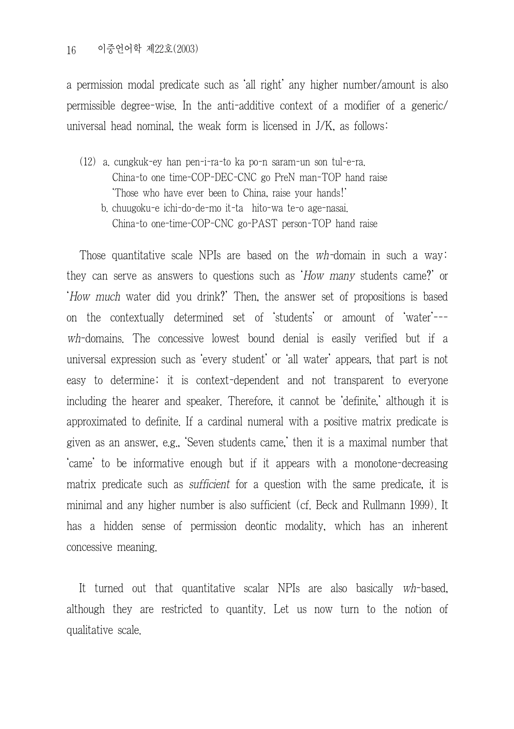a permission modal predicate such as 'all right' any higher number/amount is also permissible degree-wise. In the anti-additive context of a modifier of a generic/ universal head nominal, the weak form is licensed in J/K, as follows:

(12) a. cungkuk-ey han pen-i-ra-to ka po-n saram-un son tul-e-ra. China-to one time-COP-DEC-CNC go PreN man-TOP hand raise 'Those who have ever been to China, raise your hands!' b. chuugoku-e ichi-do-de-mo it-ta hito-wa te-o age-nasai. China-to one-time-COP-CNC go-PAST person-TOP hand raise

Those quantitative scale NPIs are based on the wh-domain in such a way: they can serve as answers to questions such as 'How many students came?' or 'How much water did you drink?' Then, the answer set of propositions is based on the contextually determined set of 'students' or amount of 'water'-- wh-domains. The concessive lowest bound denial is easily verified but if a universal expression such as 'every student' or 'all water' appears, that part is not easy to determine; it is context-dependent and not transparent to everyone including the hearer and speaker. Therefore, it cannot be 'definite,' although it is approximated to definite. If a cardinal numeral with a positive matrix predicate is given as an answer, e.g., 'Seven students came,' then it is a maximal number that 'came' to be informative enough but if it appears with a monotone-decreasing matrix predicate such as *sufficient* for a question with the same predicate, it is minimal and any higher number is also sufficient (cf. Beck and Rullmann 1999). It has a hidden sense of permission deontic modality, which has an inherent concessive meaning.

It turned out that quantitative scalar NPIs are also basically wh-based, although they are restricted to quantity. Let us now turn to the notion of qualitative scale.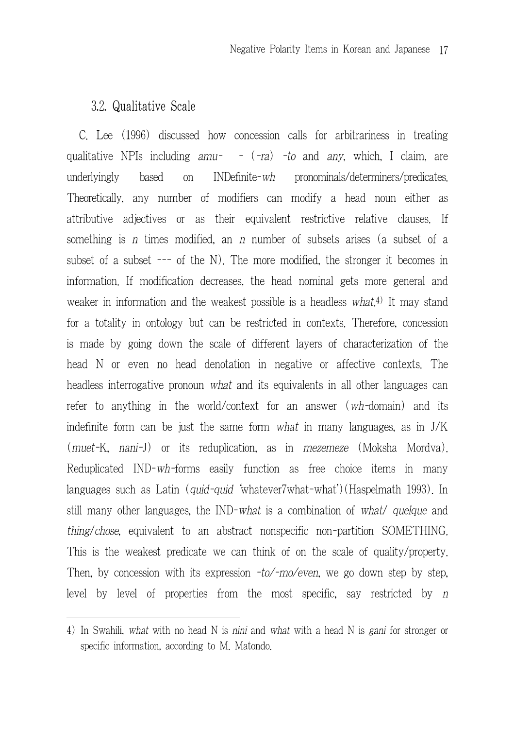## 3.2. Qualitative Scale

C. Lee (1996) discussed how concession calls for arbitrariness in treating qualitative NPIs including  $amu^-$  -  $(-ra)$  -to and any, which, I claim, are underlyingly based on INDefinite-wh pronominals/determiners/predicates. Theoretically, any number of modifiers can modify a head noun either as attributive adjectives or as their equivalent restrictive relative clauses. If something is n times modified, an n number of subsets arises (a subset of a subset of a subset --- of the N). The more modified, the stronger it becomes in information. If modification decreases, the head nominal gets more general and weaker in information and the weakest possible is a headless what.<sup>4)</sup> It may stand for a totality in ontology but can be restricted in contexts. Therefore, concession is made by going down the scale of different layers of characterization of the head N or even no head denotation in negative or affective contexts. The headless interrogative pronoun what and its equivalents in all other languages can refer to anything in the world/context for an answer (wh-domain) and its indefinite form can be just the same form what in many languages, as in J/K (muet-K, nani-J) or its reduplication, as in mezemeze (Moksha Mordva). Reduplicated IND-wh-forms easily function as free choice items in many languages such as Latin (quid-quid 'whatever7what-what')(Haspelmath 1993). In still many other languages, the IND-what is a combination of what/ quelque and thing/chose, equivalent to an abstract nonspecific non-partition SOMETHING. This is the weakest predicate we can think of on the scale of quality/property. Then, by concession with its expression  $-to/-mo/even$ , we go down step by step, level by level of properties from the most specific, say restricted by <sup>n</sup>

<sup>4)</sup> In Swahili, what with no head N is nini and what with a head N is gani for stronger or specific information, according to M. Matondo.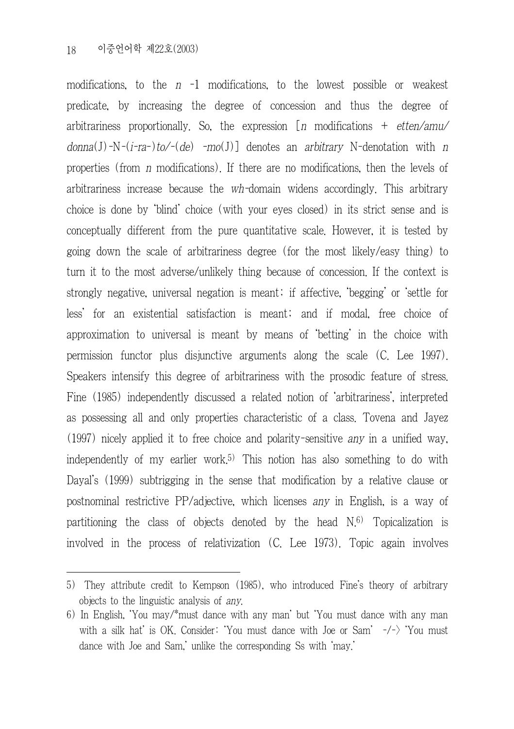modifications, to the  $n -1$  modifications, to the lowest possible or weakest predicate, by increasing the degree of concession and thus the degree of arbitrariness proportionally. So, the expression  $[n \text{ modifications} + \text{etten/amu/}$  $domain(1)-N-(i-ra-)to/-(de)$  -mo(J)] denotes an arbitrary N-denotation with n properties (from n modifications). If there are no modifications, then the levels of arbitrariness increase because the wh-domain widens accordingly. This arbitrary choice is done by 'blind' choice (with your eyes closed) in its strict sense and is conceptually different from the pure quantitative scale. However, it is tested by going down the scale of arbitrariness degree (for the most likely/easy thing) to turn it to the most adverse/unlikely thing because of concession. If the context is strongly negative, universal negation is meant; if affective, 'begging' or 'settle for less' for an existential satisfaction is meant; and if modal, free choice of approximation to universal is meant by means of 'betting' in the choice with permission functor plus disjunctive arguments along the scale (C. Lee 1997). Speakers intensify this degree of arbitrariness with the prosodic feature of stress. Fine (1985) independently discussed a related notion of 'arbitrariness', interpreted as possessing all and only properties characteristic of a class. Tovena and Jayez (1997) nicely applied it to free choice and polarity-sensitive any in a unified way, independently of my earlier work.5) This notion has also something to do with Dayal's (1999) subtrigging in the sense that modification by a relative clause or postnominal restrictive PP/adjective, which licenses any in English, is a way of partitioning the class of objects denoted by the head  $N<sub>6</sub>$ ) Topicalization is involved in the process of relativization (C. Lee 1973). Topic again involves

<sup>5)</sup> They attribute credit to Kempson (1985), who introduced Fine's theory of arbitrary objects to the linguistic analysis of any.

<sup>6)</sup> In English, 'You may/\*must dance with any man' but 'You must dance with any man with a silk hat' is OK. Consider: 'You must dance with Joe or Sam'  $-\frac{1}{2}$  'You must dance with Joe and Sam,' unlike the corresponding Ss with 'may.'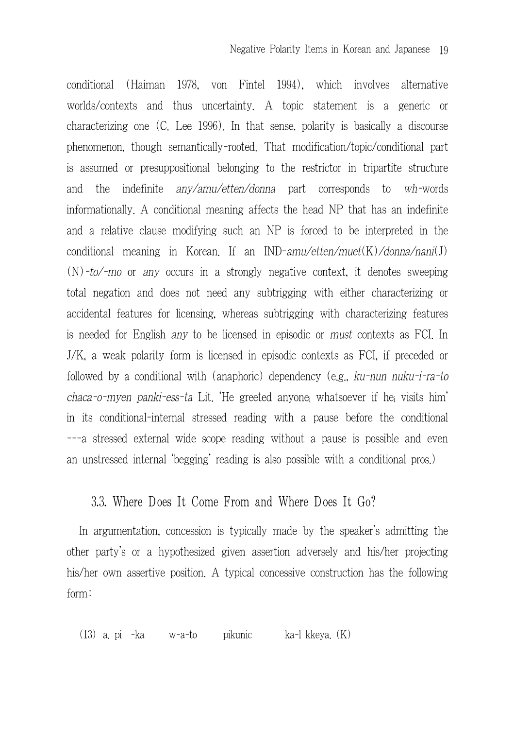conditional (Haiman 1978, von Fintel 1994), which involves alternative worlds/contexts and thus uncertainty. A topic statement is a generic or characterizing one (C. Lee 1996). In that sense, polarity is basically a discourse phenomenon, though semantically-rooted. That modification/topic/conditional part is assumed or presuppositional belonging to the restrictor in tripartite structure and the indefinite any/amu/etten/donna part corresponds to wh-words informationally. A conditional meaning affects the head NP that has an indefinite and a relative clause modifying such an NP is forced to be interpreted in the conditional meaning in Korean. If an IND-amu/etten/muet(K)/donna/nani(J)  $(N)$ -to/-mo or any occurs in a strongly negative context, it denotes sweeping total negation and does not need any subtrigging with either characterizing or accidental features for licensing, whereas subtrigging with characterizing features is needed for English any to be licensed in episodic or must contexts as FCI. In J/K, a weak polarity form is licensed in episodic contexts as FCI, if preceded or followed by a conditional with (anaphoric) dependency (e.g., ku-nun nuku-i-ra-to  $chaca$ -o-myen panki-ess-ta Lit. He greeted anyone whatsoever if he visits him' in its conditional-internal stressed reading with a pause before the conditional ---a stressed external wide scope reading without a pause is possible and even an unstressed internal 'begging' reading is also possible with a conditional pros.)

## 3.3. Where Does It Come From and Where Does It Go?

In argumentation, concession is typically made by the speaker's admitting the other party's or a hypothesized given assertion adversely and his/her projecting his/her own assertive position. A typical concessive construction has the following form:

(13) a. pi -ka w-a-to pikunic ka-l kkeya. (K)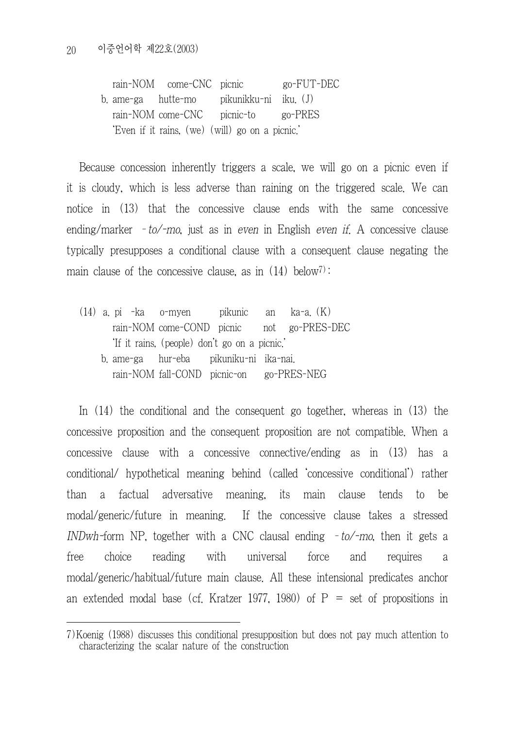rain-NOM come-CNC picnic go-FUT-DEC b. ame-ga hutte-mo pikunikku-ni iku. (J) rain-NOM come-CNC picnic-to go-PRES 'Even if it rains, (we) (will) go on a picnic.'

Because concession inherently triggers a scale, we will go on a picnic even if it is cloudy, which is less adverse than raining on the triggered scale. We can notice in (13) that the concessive clause ends with the same concessive ending/marker  $-to$ -mo, just as in even in English even if. A concessive clause typically presupposes a conditional clause with a consequent clause negating the main clause of the concessive clause, as in  $(14)$  below<sup>7)</sup>:

(14) a. pi -ka o-myen pikunic an ka-a. (K) rain-NOM come-COND picnic not go-PRES-DEC 'If it rains, (people) don't go on a picnic.' b. ame-ga hur-eba pikuniku-ni ika-nai. rain-NOM fall-COND picnic-on go-PRES-NEG

In (14) the conditional and the consequent go together, whereas in (13) the concessive proposition and the consequent proposition are not compatible. When a concessive clause with a concessive connective/ending as in (13) has a conditional/ hypothetical meaning behind (called 'concessive conditional') rather than a factual adversative meaning, its main clause tends to be modal/generic/future in meaning. If the concessive clause takes a stressed INDwh-form NP, together with a CNC clausal ending  $-t_0$ -mo, then it gets a free choice reading with universal force and requires a modal/generic/habitual/future main clause. All these intensional predicates anchor an extended modal base (cf. Kratzer 1977, 1980) of  $P =$  set of propositions in

<sup>7)</sup>Koenig (1988) discusses this conditional presupposition but does not pay much attention to characterizing the scalar nature of the construction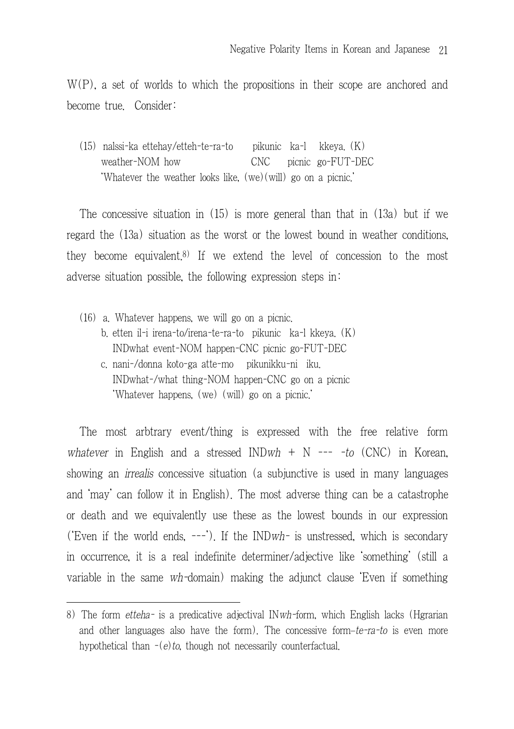W(P), a set of worlds to which the propositions in their scope are anchored and become true. Consider:

(15) nalssi-ka ettehay/etteh-te-ra-to pikunic ka-l kkeya. (K) weather-NOM how CNC picnic go-FUT-DEC 'Whatever the weather looks like, (we)(will) go on a picnic.'

The concessive situation in (15) is more general than that in (13a) but if we regard the (13a) situation as the worst or the lowest bound in weather conditions, they become equivalent.<sup>8)</sup> If we extend the level of concession to the most adverse situation possible, the following expression steps in:

- (16) a. Whatever happens, we will go on a picnic.
	- b. etten il-i irena-to/irena-te-ra-to pikunic ka-l kkeya. (K) INDwhat event-NOM happen-CNC picnic go-FUT-DEC
	- c. nani-/donna koto-ga atte-mo pikunikku-ni iku. INDwhat-/what thing-NOM happen-CNC go on a picnic 'Whatever happens, (we) (will) go on a picnic.'

The most arbtrary event/thing is expressed with the free relative form whatever in English and a stressed  $INDwh + N --- to (CNC)$  in Korean, showing an *irrealis* concessive situation (a subjunctive is used in many languages and 'may' can follow it in English). The most adverse thing can be a catastrophe or death and we equivalently use these as the lowest bounds in our expression ('Even if the world ends, ---'). If the INDwh- is unstressed, which is secondary in occurrence, it is a real indefinite determiner/adjective like 'something' (still a variable in the same wh-domain) making the adjunct clause 'Even if something

<sup>8)</sup> The form etteha- is a predicative adjectival IN $wh$ -form, which English lacks (Hgrarian and other languages also have the form). The concessive form*–*te-ra-to is even more hypothetical than  $-(e)$  to, though not necessarily counterfactual.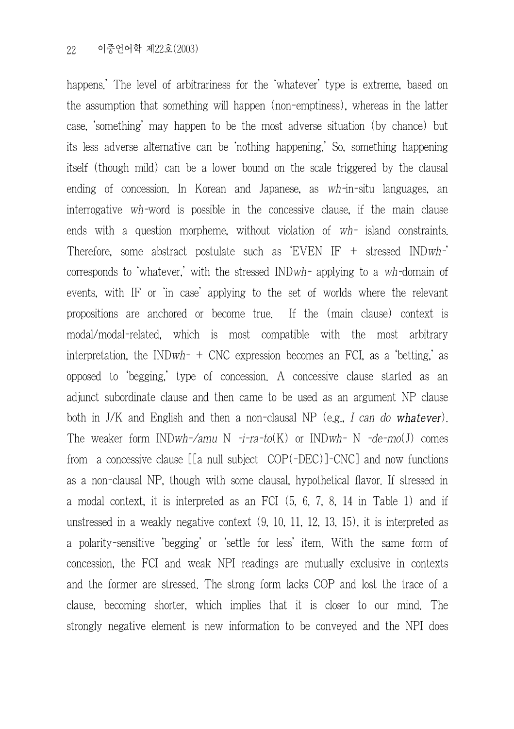happens.' The level of arbitrariness for the 'whatever' type is extreme, based on the assumption that something will happen (non-emptiness), whereas in the latter case, 'something' may happen to be the most adverse situation (by chance) but its less adverse alternative can be 'nothing happening.' So, something happening itself (though mild) can be a lower bound on the scale triggered by the clausal ending of concession. In Korean and Japanese, as wh-in-situ languages, an interrogative wh-word is possible in the concessive clause, if the main clause ends with a question morpheme, without violation of wh- island constraints. Therefore, some abstract postulate such as  $EVEN IF + stressed INDwh$ corresponds to 'whatever,' with the stressed INDwh- applying to a wh-domain of events, with IF or 'in case' applying to the set of worlds where the relevant propositions are anchored or become true. If the (main clause) context is modal/modal-related, which is most compatible with the most arbitrary interpretation, the INDwh- + CNC expression becomes an FCI, as a 'betting,' as opposed to 'begging,' type of concession. A concessive clause started as an adjunct subordinate clause and then came to be used as an argument NP clause both in J/K and English and then a non-clausal NP (e.g., I can do whatever). The weaker form INDwh-/amu N  $-i$ -ra-to(K) or INDwh- N -de-mo(J) comes from a concessive clause [[a null subject COP(-DEC)]-CNC] and now functions as a non-clausal NP, though with some clausal, hypothetical flavor. If stressed in a modal context, it is interpreted as an FCI (5, 6, 7, 8, 14 in Table 1) and if unstressed in a weakly negative context (9, 10, 11, 12, 13, 15), it is interpreted as a polarity-sensitive 'begging' or 'settle for less' item. With the same form of concession, the FCI and weak NPI readings are mutually exclusive in contexts and the former are stressed. The strong form lacks COP and lost the trace of a clause, becoming shorter, which implies that it is closer to our mind. The strongly negative element is new information to be conveyed and the NPI does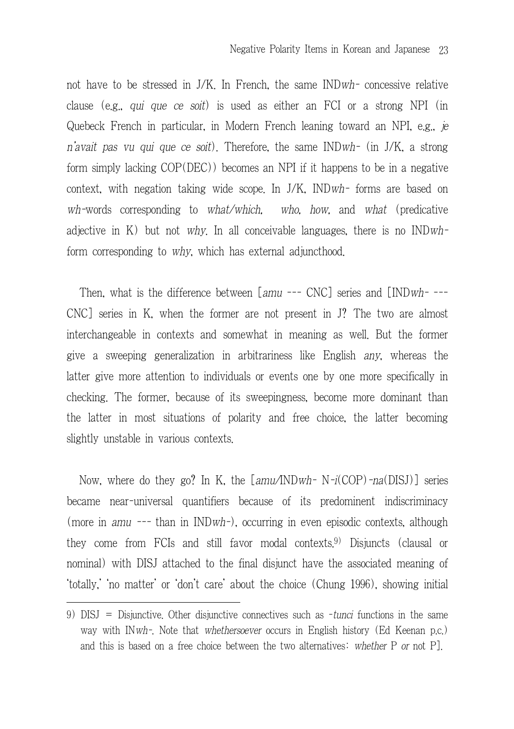not have to be stressed in J/K. In French, the same INDwh- concessive relative clause (e.g., qui que ce soit) is used as either an FCI or a strong NPI (in Quebeck French in particular, in Modern French leaning toward an NPI, e.g., je <sup>n</sup>'avait pas vu qui que ce soit). Therefore, the same INDwh- (in J/K, a strong form simply lacking COP(DEC)) becomes an NPI if it happens to be in a negative context, with negation taking wide scope. In J/K, INDwh- forms are based on wh-words corresponding to what/which, who, how, and what (predicative adjective in K) but not why. In all conceivable languages, there is no  $INDwh$ form corresponding to why, which has external adjuncthood.

Then, what is the difference between [amu --- CNC] series and [INDwh- ---CNC] series in K, when the former are not present in J? The two are almost interchangeable in contexts and somewhat in meaning as well. But the former give a sweeping generalization in arbitrariness like English any, whereas the latter give more attention to individuals or events one by one more specifically in checking. The former, because of its sweepingness, become more dominant than the latter in most situations of polarity and free choice, the latter becoming slightly unstable in various contexts.

Now, where do they go? In K, the  $\lceil amu/INDwh-N-i(COP) -na(DISJ)\rceil$  series became near-universal quantifiers because of its predominent indiscriminacy (more in amu --- than in INDwh-), occurring in even episodic contexts, although they come from FCIs and still favor modal contexts.9) Disjuncts (clausal or nominal) with DISJ attached to the final disjunct have the associated meaning of 'totally,' 'no matter' or 'don't care' about the choice (Chung 1996), showing initial

<sup>9)</sup> DISJ = Disjunctive. Other disjunctive connectives such as -tunci functions in the same way with IN*wh*-. Note that *whethersoever* occurs in English history (Ed Keenan p.c.) and this is based on a free choice between the two alternatives: whether P or not P].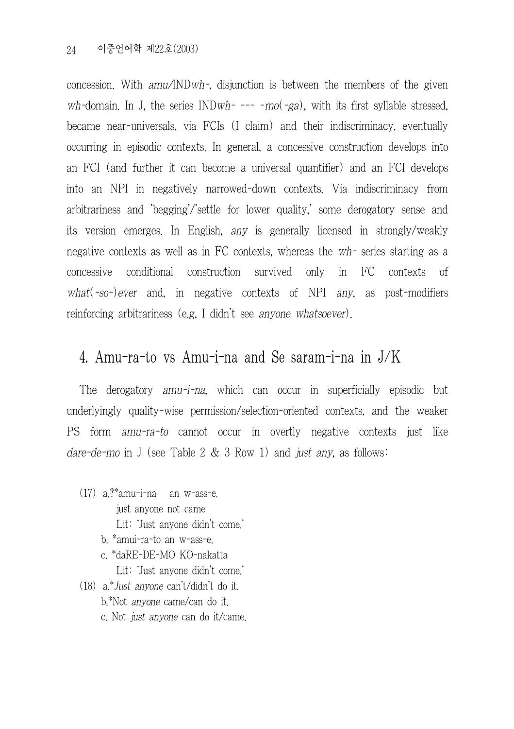concession. With amu/INDwh-, disjunction is between the members of the given wh-domain. In J, the series  $INDwh$ - --- - $mo(-ga)$ , with its first syllable stressed, became near-universals, via FCIs (I claim) and their indiscriminacy, eventually occurring in episodic contexts. In general, a concessive construction develops into an FCI (and further it can become a universal quantifier) and an FCI develops into an NPI in negatively narrowed-down contexts. Via indiscriminacy from arbitrariness and 'begging'/'settle for lower quality,' some derogatory sense and its version emerges. In English, any is generally licensed in strongly/weakly negative contexts as well as in FC contexts, whereas the wh- series starting as a concessive conditional construction survived only in FC contexts of what( $-so$ -)ever and, in negative contexts of NPI any, as post-modifiers reinforcing arbitrariness (e.g, I didn't see anyone whatsoever).

# 4. Amu-ra-to vs Amu-i-na and Se saram-i-na in J/K

The derogatory amu-i-na, which can occur in superficially episodic but underlyingly quality-wise permission/selection-oriented contexts, and the weaker PS form amu-ra-to cannot occur in overtly negative contexts just like dare-de-mo in J (see Table 2  $&$  3 Row 1) and just any, as follows:

- (17) a.?\*amu-i-na an w-ass-e. just anyone not came Lit: 'Just anyone didn't come.' b. \*amui-ra-to an w-ass-e.
	- c. \*daRE-DE-MO KO-nakatta Lit: 'Just anyone didn't come.'
- (18) a.\*Just anyone can't/didn't do it. b.\*Not anyone came/can do it. c. Not just anyone can do it/came.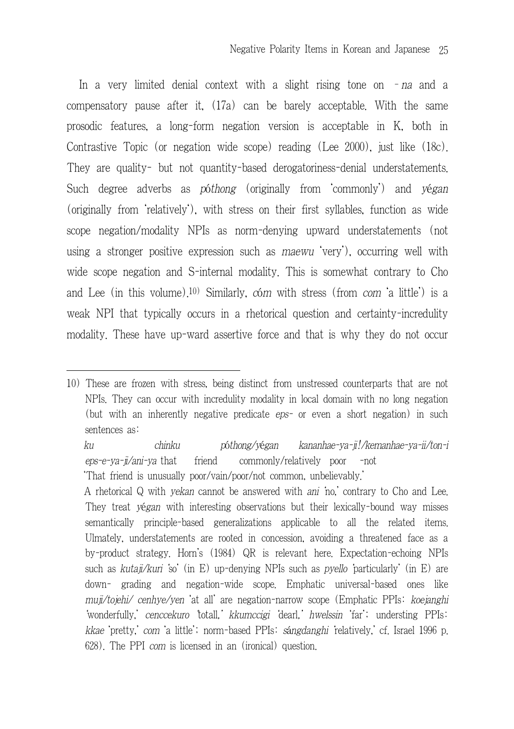In a very limited denial context with a slight rising tone on  $-na$  and a compensatory pause after it, (17a) can be barely acceptable. With the same prosodic features, a long-form negation version is acceptable in K, both in Contrastive Topic (or negation wide scope) reading (Lee 2000), just like (18c). They are quality- but not quantity-based derogatoriness-denial understatements. Such degree adverbs as póthong (originally from 'commonly') and yégan (originally from 'relatively'), with stress on their first syllables, function as wide scope negation/modality NPIs as norm-denying upward understatements (not using a stronger positive expression such as maewu 'very'), occurring well with wide scope negation and S-internal modality. This is somewhat contrary to Cho and Lee (in this volume).10) Similarly, cóm with stress (from com 'a little') is a weak NPI that typically occurs in a rhetorical question and certainty-incredulity modality. These have up-ward assertive force and that is why they do not occur

<sup>10)</sup> These are frozen with stress, being distinct from unstressed counterparts that are not NPIs. They can occur with incredulity modality in local domain with no long negation (but with an inherently negative predicate eps- or even a short negation) in such sentences as:

ku chinku póthong/yégan kananhae-ya-ji!/kemanhae-ya-ii/ton-i eps-e-va-ii/ani-va that friend commonly/relatively poor -not 'That friend is unusually poor/vain/poor/not common, unbelievably.'

A rhetorical Q with yekan cannot be answered with ani 'no,' contrary to Cho and Lee. They treat yégan with interesting observations but their lexically-bound way misses semantically principle-based generalizations applicable to all the related items. Ulmately, understatements are rooted in concession, avoiding a threatened face as a by-product strategy. Horn's (1984) QR is relevant here. Expectation-echoing NPIs such as kutaji/kuri so' (in E) up-denying NPIs such as *pyello* particularly' (in E) are down- grading and negation-wide scope. Emphatic universal-based ones like muji/tojehi/ cenhye/yen 'at all' are negation-narrow scope (Emphatic PPIs: koejanghi 'wonderfully,' cenccekuro 'totall,' kkumccigi 'dearl,' hwelssin 'far'; understing PPIs: kkae 'pretty,' com 'a little'; norm-based PPIs: sángdanghi 'relatively,' cf. Israel 1996 p. 628). The PPI com is licensed in an (ironical) question.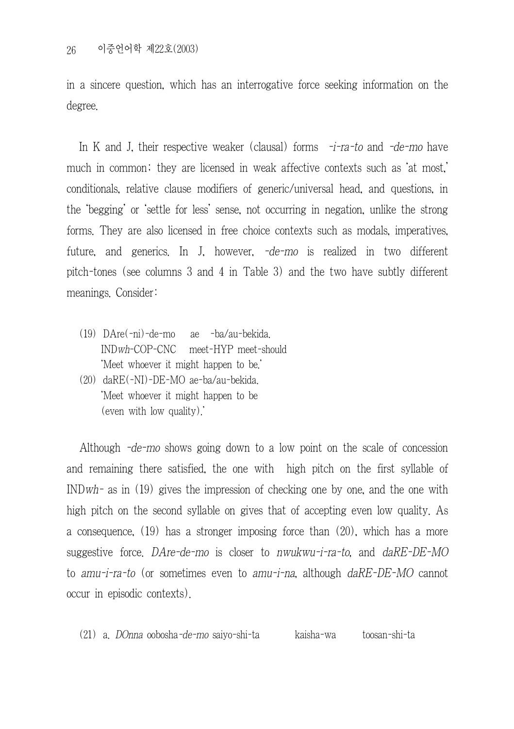in a sincere question, which has an interrogative force seeking information on the degree.

In K and J, their respective weaker (clausal) forms  $-i$ -ra-to and -de-mo have much in common; they are licensed in weak affective contexts such as 'at most,' conditionals, relative clause modifiers of generic/universal head, and questions, in the 'begging' or 'settle for less' sense, not occurring in negation, unlike the strong forms. They are also licensed in free choice contexts such as modals, imperatives, future, and generics. In J, however, -de-mo is realized in two different pitch-tones (see columns 3 and 4 in Table 3) and the two have subtly different meanings. Consider:

- (19) DAre(-ni)-de-mo ae -ba/au-bekida. INDwh-COP-CNC meet-HYP meet-should 'Meet whoever it might happen to be.'
- (20) daRE(-NI)-DE-MO ae-ba/au-bekida. 'Meet whoever it might happen to be (even with low quality).'

Although -de-mo shows going down to a low point on the scale of concession and remaining there satisfied, the one with high pitch on the first syllable of INDwh- as in (19) gives the impression of checking one by one, and the one with high pitch on the second syllable on gives that of accepting even low quality. As a consequence, (19) has a stronger imposing force than (20), which has a more suggestive force. DAre-de-mo is closer to nwukwu-i-ra-to, and daRE-DE-MO to amu-i-ra-to (or sometimes even to amu-i-na, although daRE-DE-MO cannot occur in episodic contexts).

(21) a. DOnna oobosha-de-mo saiyo-shi-ta kaisha-wa toosan-shi-ta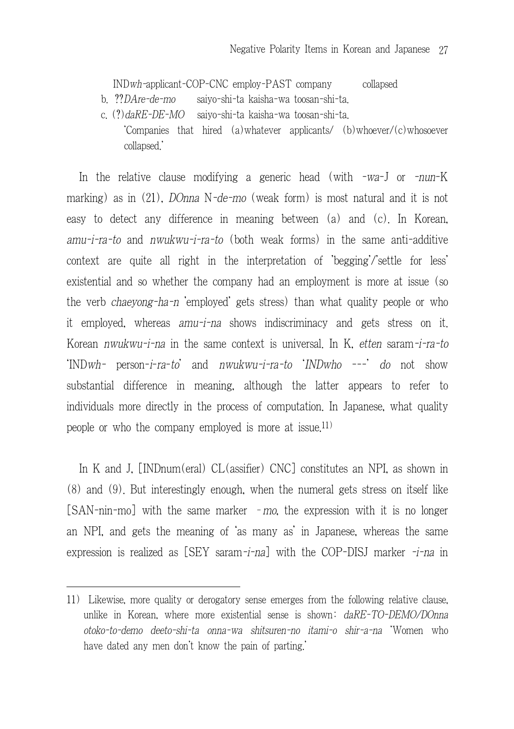INDwh-applicant-COP-CNC employ-PAST company collapsed

- b. ??DAre-de-mo saiyo-shi-ta kaisha-wa toosan-shi-ta.
- c. (?)daRE-DE-MO saiyo-shi-ta kaisha-wa toosan-shi-ta. 'Companies that hired (a)whatever applicants/ (b)whoever/(c)whosoever collapsed.'

In the relative clause modifying a generic head (with -wa-J or -nun-K marking) as in (21), DOnna N-de-mo (weak form) is most natural and it is not easy to detect any difference in meaning between (a) and (c). In Korean,  $amu-i-ra-to$  and  $nwukwu-i-ra-to$  (both weak forms) in the same anti-additive context are quite all right in the interpretation of 'begging'/'settle for less' existential and so whether the company had an employment is more at issue (so the verb chaeyong-ha-n 'employed' gets stress) than what quality people or who it employed, whereas amu-i-na shows indiscriminacy and gets stress on it. Korean nwukwu-i-na in the same context is universal. In K, etten saram-i-ra-to 'INDwh- person-i-ra-to' and nwukwu-i-ra-to 'INDwho ---' do not show substantial difference in meaning, although the latter appears to refer to individuals more directly in the process of computation. In Japanese, what quality people or who the company employed is more at issue.11)

In K and J, [INDnum(eral) CL(assifier) CNC] constitutes an NPI, as shown in (8) and (9). But interestingly enough, when the numeral gets stress on itself like [SAN-nin-mo] with the same marker – mo, the expression with it is no longer an NPI, and gets the meaning of 'as many as' in Japanese, whereas the same expression is realized as [SEY saram-*i-na*] with the COP-DISJ marker -*i-na* in

<sup>11)</sup> Likewise, more quality or derogatory sense emerges from the following relative clause, unlike in Korean, where more existential sense is shown:  $dR = TO-DEMO/DOnna$ otoko-to-demo deeto-shi-ta onna-wa shitsuren-no itami-o shir-a-na 'Women who have dated any men don't know the pain of parting'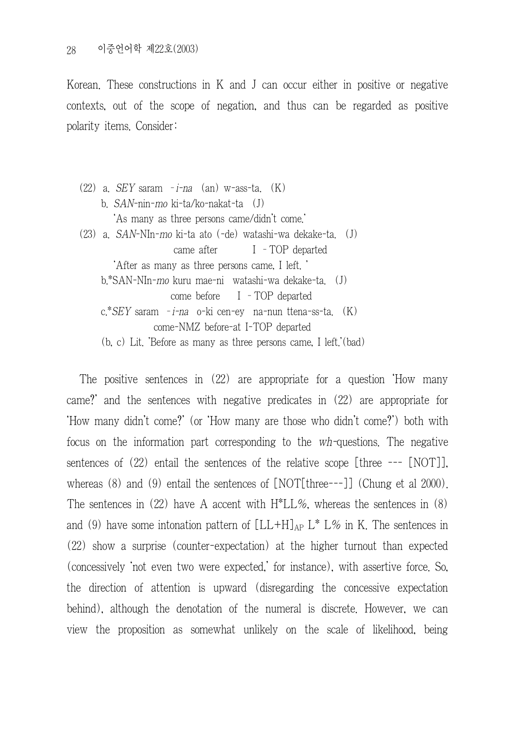Korean. These constructions in K and J can occur either in positive or negative contexts, out of the scope of negation, and thus can be regarded as positive polarity items. Consider:

 $(22)$  a. SEY saram  $-i$ -na  $(an)$  w-ass-ta.  $(K)$ b. SAN-nin-mo ki-ta/ko-nakat-ta (J) 'As many as three persons came/didn't come.' (23) a. SAN-NIn-mo ki-ta ato (-de) watashi-wa dekake-ta. (J) came after I –TOP departed 'After as many as three persons came, I left. ' b.\*SAN-NIn-mo kuru mae-ni watashi-wa dekake-ta. (J) come before I –TOP departed c.\*SEY saram –i-na o-ki cen-ey na-nun ttena-ss-ta. (K) come-NMZ before-at I-TOP departed (b, c) Lit. 'Before as many as three persons came, I left.'(bad)

The positive sentences in (22) are appropriate for a question 'How many came?' and the sentences with negative predicates in (22) are appropriate for 'How many didn't come?' (or 'How many are those who didn't come?') both with focus on the information part corresponding to the wh-questions. The negative sentences of (22) entail the sentences of the relative scope [three --- [NOT]], whereas (8) and (9) entail the sentences of [NOT[three---]] (Chung et al 2000). The sentences in  $(22)$  have A accent with H\*LL%, whereas the sentences in  $(8)$ and (9) have some intonation pattern of  $[LL+H]_{AP} L^* L\%$  in K. The sentences in (22) show a surprise (counter-expectation) at the higher turnout than expected (concessively 'not even two were expected,' for instance), with assertive force. So, the direction of attention is upward (disregarding the concessive expectation behind), although the denotation of the numeral is discrete. However, we can view the proposition as somewhat unlikely on the scale of likelihood, being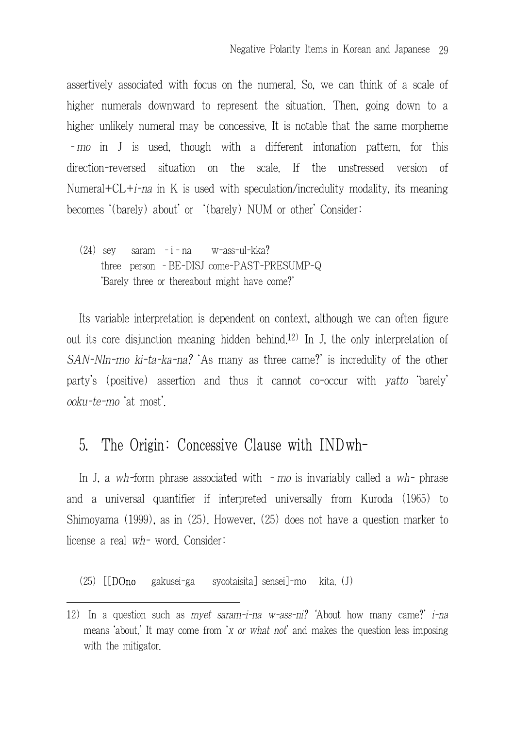assertively associated with focus on the numeral. So, we can think of a scale of higher numerals downward to represent the situation. Then, going down to a higher unlikely numeral may be concessive. It is notable that the same morpheme –mo in J is used, though with a different intonation pattern, for this direction-reversed situation on the scale. If the unstressed version of Numeral+CL+ $i$ -na in K is used with speculation/incredulity modality, its meaning becomes '(barely) about' or '(barely) NUM or other' Consider:

(24) sey saram –i–na w-ass-ul-kka? three person –BE-DISJ come-PAST-PRESUMP-Q 'Barely three or thereabout might have come?'

Its variable interpretation is dependent on context, although we can often figure out its core disjunction meaning hidden behind.12) In J, the only interpretation of SAN-NIn-mo ki-ta-ka-na? 'As many as three came?' is incredulity of the other party's (positive) assertion and thus it cannot co-occur with yatto 'barely' ooku-te-mo 'at most'.

## 5. The Origin: Concessive Clause with INDwh-

In J, a wh-form phrase associated with  $-$  mo is invariably called a wh- phrase and a universal quantifier if interpreted universally from Kuroda (1965) to Shimoyama (1999), as in (25). However, (25) does not have a question marker to license a real wh- word. Consider:

(25) [[DOno gakusei-ga syootaisita] sensei]-mo kita. (J)

<sup>12)</sup> In a question such as *mvet saram-i-na*  $w$ -ass-ni? 'About how many came?' *i-na* means 'about.' It may come from 'x or what not' and makes the question less imposing with the mitigator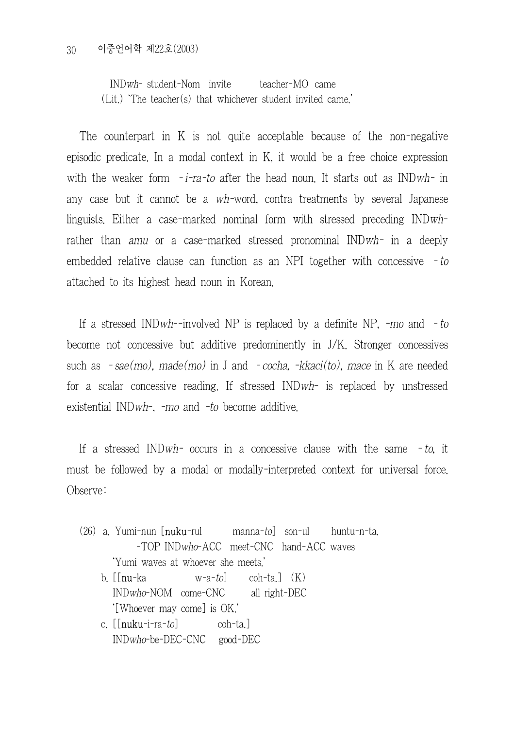INDwh- student-Nom invite teacher-MO came (Lit.) 'The teacher(s) that whichever student invited came.'

The counterpart in K is not quite acceptable because of the non-negative episodic predicate. In a modal context in K, it would be a free choice expression with the weaker form  $-i\tau a-ta$  after the head noun. It starts out as INDwh- in any case but it cannot be a wh-word, contra treatments by several Japanese linguists. Either a case-marked nominal form with stressed preceding INDwhrather than amu or a case-marked stressed pronominal INDwh- in a deeply embedded relative clause can function as an NPI together with concessive – to attached to its highest head noun in Korean.

If a stressed INDwh--involved NP is replaced by a definite NP,  $-mo$  and  $-to$ become not concessive but additive predominently in J/K. Stronger concessives such as  $-$ sae(mo), made(mo) in J and  $-$ cocha,  $-kkaci(to)$ , mace in K are needed for a scalar concessive reading. If stressed INDwh- is replaced by unstressed existential INDwh-, -mo and -to become additive.

If a stressed INDwh- occurs in a concessive clause with the same  $-to$ , it must be followed by a modal or modally-interpreted context for universal force. Observe:

- (26) a. Yumi-nun [nuku-rul manna-to] son-ul huntu-n-ta. -TOP INDwho-ACC meet-CNC hand-ACC waves 'Yumi waves at whoever she meets.'
	- b.  $\lceil \ln u ka \rceil$  w-a-to coh-ta.  $\lceil (K) \rceil$ INDwho-NOM come-CNC all right-DEC '[Whoever may come] is OK.'
	- c.  $[\lceil \mathbf{n} \mathbf{u} \mathbf{k} \mathbf{u} \mathbf{i} \mathbf{n} \mathbf{a} t \mathbf{o}]$  coh-ta.] INDwho-be-DEC-CNC good-DEC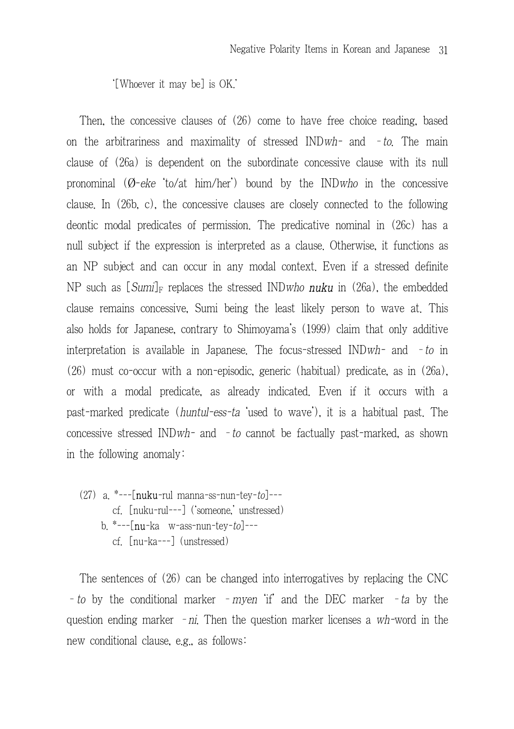'[Whoever it may be] is OK.'

Then, the concessive clauses of (26) come to have free choice reading, based on the arbitrariness and maximality of stressed INDwh- and  $-to$ . The main clause of (26a) is dependent on the subordinate concessive clause with its null pronominal  $(\emptyset$ -eke to/at him/her) bound by the INDwho in the concessive clause. In (26b, c), the concessive clauses are closely connected to the following deontic modal predicates of permission. The predicative nominal in (26c) has a null subject if the expression is interpreted as a clause. Otherwise, it functions as an NP subject and can occur in any modal context. Even if a stressed definite NP such as  $\lceil Sum_l \rceil_F$  replaces the stressed INDwho **nuku** in (26a), the embedded clause remains concessive, Sumi being the least likely person to wave at. This also holds for Japanese, contrary to Shimoyama's (1999) claim that only additive interpretation is available in Japanese. The focus-stressed  $INDwh^-$  and  $-to$  in (26) must co-occur with a non-episodic, generic (habitual) predicate, as in (26a), or with a modal predicate, as already indicated. Even if it occurs with a past-marked predicate (huntul-ess-ta 'used to wave'), it is a habitual past. The concessive stressed IND*wh*- and  $-to$  cannot be factually past-marked, as shown in the following anomaly:

(27) a.  $*--[{\rm nuku-rul}$  manna-ss-nun-tey-to]--cf. [nuku-rul---] ('someone,' unstressed) b.  $*-$ [nu-ka w-ass-nun-tey-to]--cf. [nu-ka---] (unstressed)

The sentences of (26) can be changed into interrogatives by replacing the CNC - to by the conditional marker - myen 'if' and the DEC marker - ta by the question ending marker  $-ni$ . Then the question marker licenses a wh-word in the new conditional clause, e.g., as follows: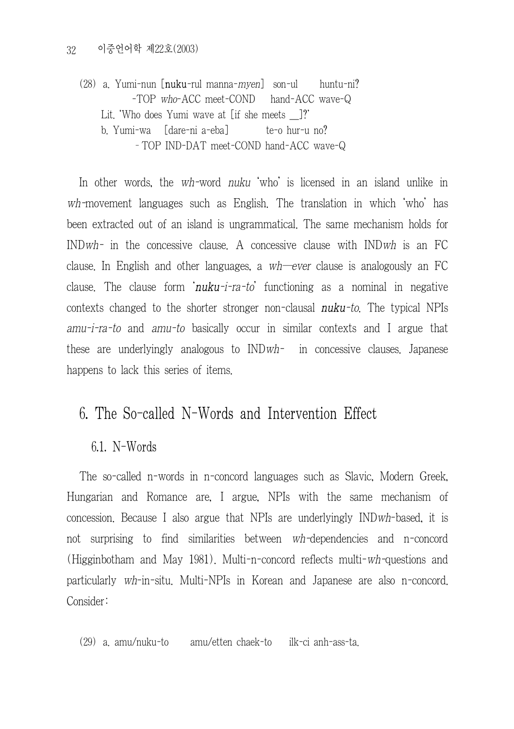(28) a. Yumi-nun  $\lceil \text{nuku}-\text{nu}\rceil$  manna-*myen* $\lceil \text{son-u} \rceil$  huntu-ni? -TOP who-ACC meet-COND hand-ACC wave-Q Lit. 'Who does Yumi wave at [if she meets ]?' b. Yumi-wa [dare-ni a-eba] te-o hur-u no? –TOP IND-DAT meet-COND hand-ACC wave-Q

In other words, the wh-word *nuku* 'who' is licensed in an island unlike in wh-movement languages such as English. The translation in which 'who' has been extracted out of an island is ungrammatical. The same mechanism holds for INDwh- in the concessive clause. A concessive clause with INDwh is an FC clause. In English and other languages, a  $wh$ —ever clause is analogously an FC clause. The clause form  $inuku-i-ra-to'$  functioning as a nominal in negative contexts changed to the shorter stronger non-clausal  $\boldsymbol{n} \boldsymbol{u} \boldsymbol{k} \boldsymbol{u}$ -to. The typical NPIs amu-i-ra-to and amu-to basically occur in similar contexts and I argue that these are underlyingly analogous to INDwh- in concessive clauses. Japanese happens to lack this series of items.

# 6. The So-called N-Words and Intervention Effect

## 6.1. N-Words

The so-called n-words in n-concord languages such as Slavic, Modern Greek, Hungarian and Romance are, I argue, NPIs with the same mechanism of concession. Because I also argue that NPIs are underlyingly INDwh-based, it is not surprising to find similarities between wh-dependencies and n-concord (Higginbotham and May 1981). Multi-n-concord reflects multi-wh-questions and particularly wh-in-situ. Multi-NPIs in Korean and Japanese are also n-concord. Consider:

(29) a. amu/nuku-to amu/etten chaek-to ilk-ci anh-ass-ta.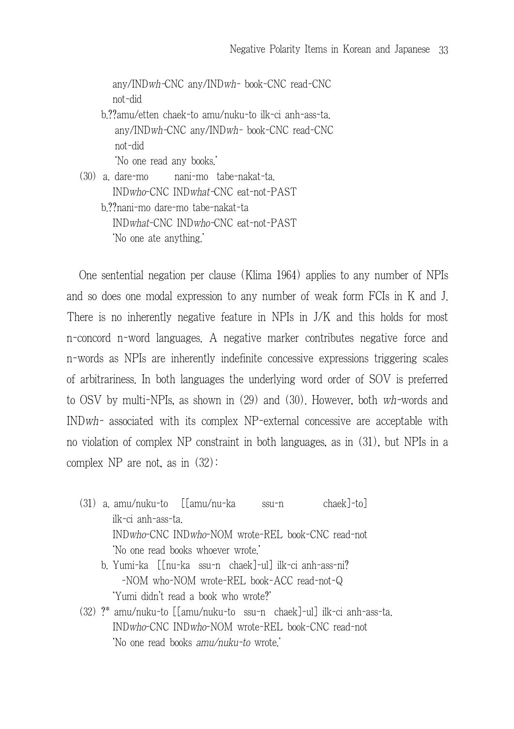any/INDwh-CNC any/INDwh- book-CNC read-CNC not-did b.??amu/etten chaek-to amu/nuku-to ilk-ci anh-ass-ta. any/INDwh-CNC any/INDwh- book-CNC read-CNC not-did 'No one read any books.'

(30) a. dare-mo nani-mo tabe-nakat-ta. INDwho-CNC INDwhat-CNC eat-not-PAST b.??nani-mo dare-mo tabe-nakat-ta INDwhat-CNC INDwho-CNC eat-not-PAST 'No one ate anything.'

One sentential negation per clause (Klima 1964) applies to any number of NPIs and so does one modal expression to any number of weak form FCIs in K and J. There is no inherently negative feature in NPIs in J/K and this holds for most n-concord n-word languages. A negative marker contributes negative force and n-words as NPIs are inherently indefinite concessive expressions triggering scales of arbitrariness. In both languages the underlying word order of SOV is preferred to OSV by multi-NPIs, as shown in (29) and (30). However, both wh-words and INDwh- associated with its complex NP-external concessive are acceptable with no violation of complex NP constraint in both languages, as in (31), but NPIs in a complex NP are not, as in (32):

- (31) a. amu/nuku-to [[amu/nu-ka ssu-n chaek]-to] ilk-ci anh-ass-ta. INDwho-CNC INDwho-NOM wrote-REL book-CNC read-not 'No one read books whoever wrote.'
	- b. Yumi-ka [[nu-ka ssu-n chaek]-ul] ilk-ci anh-ass-ni? -NOM who-NOM wrote-REL book-ACC read-not-Q 'Yumi didn't read a book who wrote?'
- (32) ?\* amu/nuku-to [[amu/nuku-to ssu-n chaek]-ul] ilk-ci anh-ass-ta. INDwho-CNC INDwho-NOM wrote-REL book-CNC read-not 'No one read books amu/nuku-to wrote.'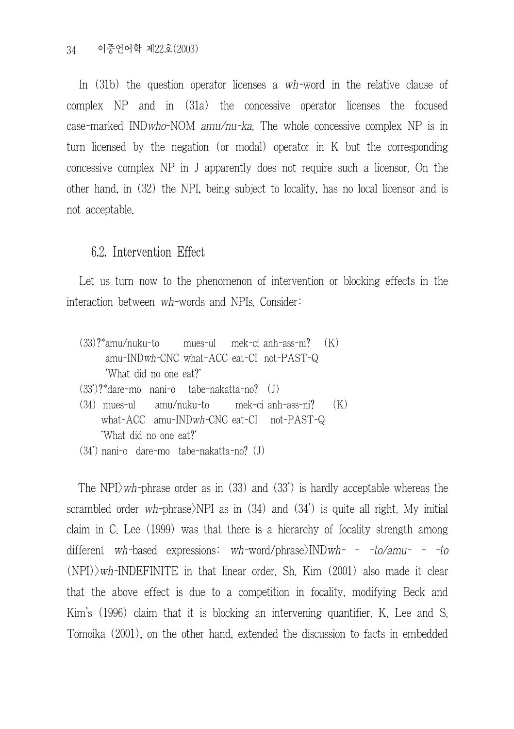In (31b) the question operator licenses a wh-word in the relative clause of complex NP and in (31a) the concessive operator licenses the focused case-marked INDwho-NOM amu/nu-ka. The whole concessive complex NP is in turn licensed by the negation (or modal) operator in K but the corresponding concessive complex NP in J apparently does not require such a licensor. On the other hand, in (32) the NPI, being subject to locality, has no local licensor and is not acceptable.

#### 6.2. Intervention Effect

Let us turn now to the phenomenon of intervention or blocking effects in the interaction between wh-words and NPIs. Consider:

- (33)?\*amu/nuku-to mues-ul mek-ci anh-ass-ni? (K) amu-INDwh-CNC what-ACC eat-CI not-PAST-Q 'What did no one eat?'
- (33')?\*dare-mo nani-o tabe-nakatta-no? (J)
- (34) mues-ul amu/nuku-to mek-ci anh-ass-ni? (K) what-ACC amu-INDwh-CNC eat-CI not-PAST-Q 'What did no one eat?'
- (34') nani-o dare-mo tabe-nakatta-no? (J)

The NPI $\rangle$ wh-phrase order as in (33) and (33') is hardly acceptable whereas the scrambled order wh-phrase NPI as in  $(34)$  and  $(34')$  is quite all right. My initial claim in C. Lee (1999) was that there is a hierarchy of focality strength among different wh-based expressions: wh-word/phrase $\text{NNDwh- - to/amu- - to}$  $(NPI)$  wh-INDEFINITE in that linear order. Sh. Kim  $(2001)$  also made it clear that the above effect is due to a competition in focality, modifying Beck and Kim's (1996) claim that it is blocking an intervening quantifier. K. Lee and S. Tomoika (2001), on the other hand, extended the discussion to facts in embedded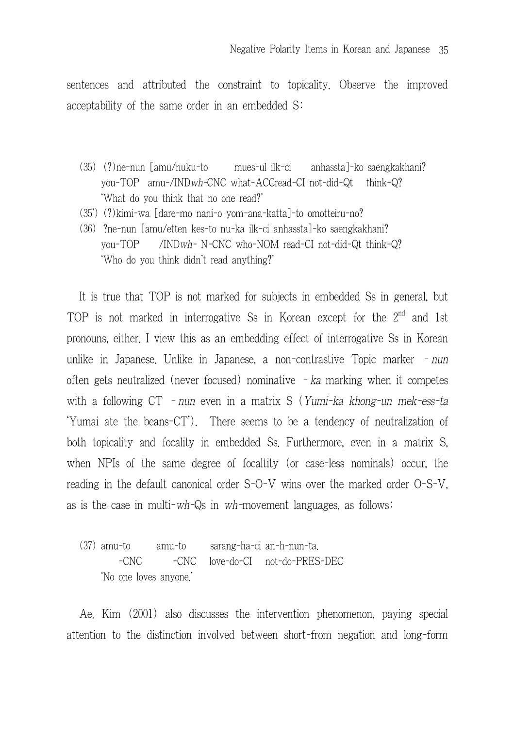sentences and attributed the constraint to topicality. Observe the improved acceptability of the same order in an embedded S:

- (35) (?)ne-nun [amu/nuku-to mues-ul ilk-ci anhassta]-ko saengkakhani? you-TOP amu-/INDwh-CNC what-ACCread-CI not-did-Qt think-Q? 'What do you think that no one read?'
- (35') (?)kimi-wa [dare-mo nani-o yom-ana-katta]-to omotteiru-no?
- (36) ?ne-nun [amu/etten kes-to nu-ka ilk-ci anhassta]-ko saengkakhani? you-TOP /INDwh- N-CNC who-NOM read-CI not-did-Qt think-Q? 'Who do you think didn't read anything?'

It is true that TOP is not marked for subjects in embedded Ss in general, but TOP is not marked in interrogative Ss in Korean except for the  $2^{nd}$  and 1st pronouns, either. I view this as an embedding effect of interrogative Ss in Korean unlike in Japanese. Unlike in Japanese, a non-contrastive Topic marker - nun often gets neutralized (never focused) nominative  $-ka$  marking when it competes with a following  $CT$  – nun even in a matrix S (Yumi-ka khong-un mek-ess-ta 'Yumai ate the beans-CT'). There seems to be a tendency of neutralization of both topicality and focality in embedded Ss. Furthermore, even in a matrix S, when NPIs of the same degree of focaltity (or case-less nominals) occur, the reading in the default canonical order S-O-V wins over the marked order O-S-V, as is the case in multi-wh-Qs in wh-movement languages, as follows:

(37) amu-to amu-to sarang-ha-ci an-h-nun-ta. -CNC -CNC love-do-CI not-do-PRES-DEC 'No one loves anyone.'

Ae. Kim (2001) also discusses the intervention phenomenon, paying special attention to the distinction involved between short-from negation and long-form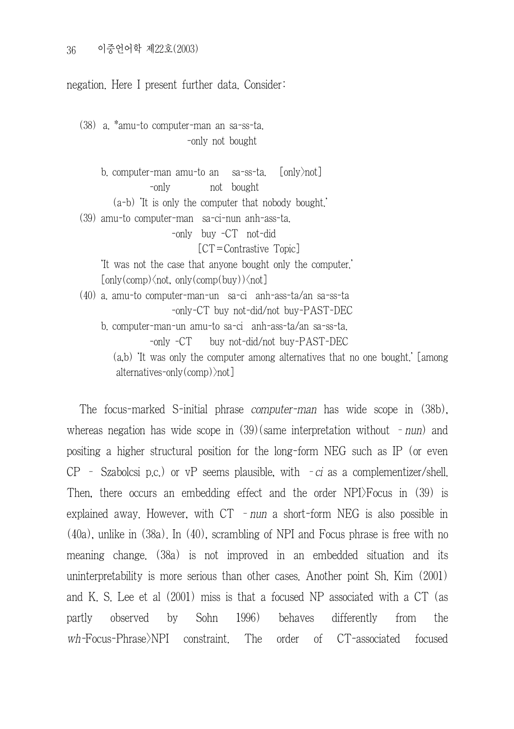negation. Here I present further data. Consider:

(38) a. \*amu-to computer-man an sa-ss-ta. -only not bought

b. computer-man amu-to an sa-ss-ta. [only>not] -only not bought (a-b) 'It is only the computer that nobody bought.' (39) amu-to computer-man sa-ci-nun anh-ass-ta. -only buy -CT not-did [CT=Contrastive Topic] 'It was not the case that anyone bought only the computer.'  $[only (comp) \n<sub>not</sub>, only (comp (buy)) \n<sub>not</sub>]$ (40) a. amu-to computer-man-un sa-ci anh-ass-ta/an sa-ss-ta -only-CT buy not-did/not buy-PAST-DEC b. computer-man-un amu-to sa-ci anh-ass-ta/an sa-ss-ta. -only -CT buy not-did/not buy-PAST-DEC (a,b) 'It was only the computer among alternatives that no one bought.' [among alternatives-only(comp)>not]

The focus-marked S-initial phrase computer-man has wide scope in (38b), whereas negation has wide scope in  $(39)(\text{same interpretation without } -\text{num})$  and positing a higher structural position for the long-form NEG such as IP (or even  $CP$  - Szabolcsi p.c.) or vP seems plausible, with  $-ci$  as a complementizer/shell. Then, there occurs an embedding effect and the order NPI>Focus in (39) is explained away. However, with  $CT - num$  a short-form NEG is also possible in (40a), unlike in (38a). In (40), scrambling of NPI and Focus phrase is free with no meaning change. (38a) is not improved in an embedded situation and its uninterpretability is more serious than other cases. Another point Sh. Kim (2001) and K. S. Lee et al (2001) miss is that a focused NP associated with a CT (as partly observed by Sohn 1996) behaves differently from the wh-Focus-Phrase>NPI constraint. The order of CT-associated focused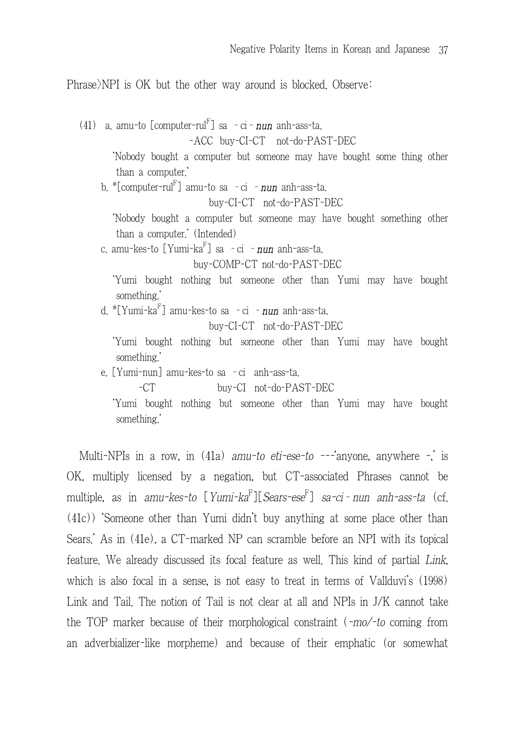Phrase)NPI is OK but the other way around is blocked. Observe:

(41) a. amu-to [computer-rul<sup>r'</sup>] sa - ci - **nun** anh-ass-ta. -ACC buy-CI-CT not-do-PAST-DEC 'Nobody bought a computer but someone may have bought some thing other than a computer.' b. \*[computer-rul<sup>r'</sup>] amu-to sa - ci - **nun** anh-ass-ta. buy-CI-CT not-do-PAST-DEC 'Nobody bought a computer but someone may have bought something other than a computer.' (Intended) c. amu-kes-to [Yumi-ka<sup>r</sup>] sa -ci -*nun* anh-ass-ta. buy-COMP-CT not-do-PAST-DEC 'Yumi bought nothing but someone other than Yumi may have bought something.' d. \*[Yumi-ka<sup>r</sup>] amu-kes-to sa - ci - **nun** anh-ass-ta. buy-CI-CT not-do-PAST-DEC 'Yumi bought nothing but someone other than Yumi may have bought something.' e. [Yumi-nun] amu-kes-to sa –ci anh-ass-ta. -CT buy-CI not-do-PAST-DEC 'Yumi bought nothing but someone other than Yumi may have bought

something.'

Multi-NPIs in a row, in  $(41a)$  amu-to eti-ese-to ---anyone, anywhere -, is OK, multiply licensed by a negation, but CT-associated Phrases cannot be multiple, as in *amu-kes-to* [*Yumi-ka<sup>r'</sup>]*[*Sears-ese<sup>r'</sup>] sa-ci-nun anh-ass-ta* (cf. (41c)) 'Someone other than Yumi didn't buy anything at some place other than Sears.' As in (41e), a CT-marked NP can scramble before an NPI with its topical feature. We already discussed its focal feature as well. This kind of partial Link, which is also focal in a sense, is not easy to treat in terms of Vallduvi's (1998) Link and Tail. The notion of Tail is not clear at all and NPIs in J/K cannot take the TOP marker because of their morphological constraint (-mo/-to coming from an adverbializer-like morpheme) and because of their emphatic (or somewhat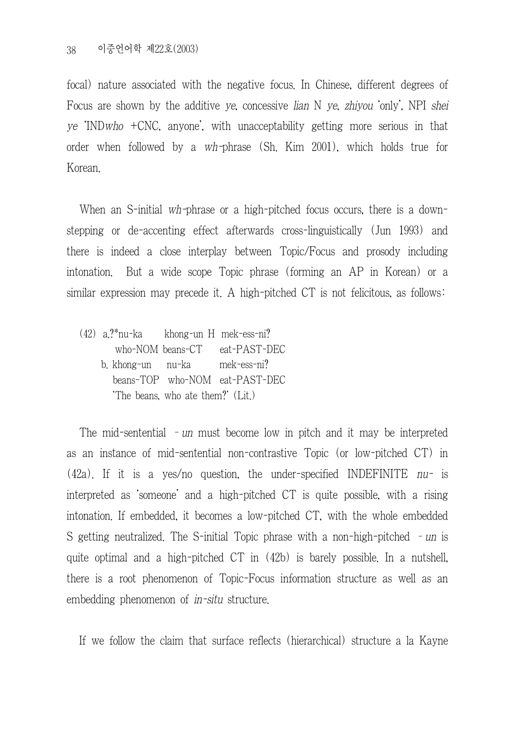focal) nature associated with the negative focus. In Chinese, different degrees of Focus are shown by the additive ye, concessive lian N ye, zhivou 'only'. NPI shei ye 'INDwho +CNC, anyone', with unacceptability getting more serious in that order when followed by a wh-phrase (Sh. Kim 2001), which holds true for Korean.

When an S-initial wh-phrase or a high-pitched focus occurs, there is a downstepping or de-accenting effect afterwards cross-linguistically (Jun 1993) and there is indeed a close interplay between Topic/Focus and prosody including intonation. But a wide scope Topic phrase (forming an AP in Korean) or a similar expression may precede it. A high-pitched CT is not felicitous, as follows:

(42) a.?\*nu-ka khong-un H mek-ess-ni? who-NOM beans-CT eat-PAST-DEC b. khong-un nu-ka mek-ess-ni? beans-TOP who-NOM eat-PAST-DEC 'The beans, who ate them?' (Lit.)

The mid-sentential – un must become low in pitch and it may be interpreted as an instance of mid-sentential non-contrastive Topic (or low-pitched CT) in (42a). If it is a yes/no question, the under-specified INDEFINITE nu- is interpreted as 'someone' and a high-pitched CT is quite possible, with a rising intonation. If embedded, it becomes a low-pitched CT, with the whole embedded S getting neutralized. The S-initial Topic phrase with a non-high-pitched – un is quite optimal and a high-pitched CT in (42b) is barely possible. In a nutshell, there is a root phenomenon of Topic-Focus information structure as well as an embedding phenomenon of *in-situ* structure.

If we follow the claim that surface reflects (hierarchical) structure a la Kayne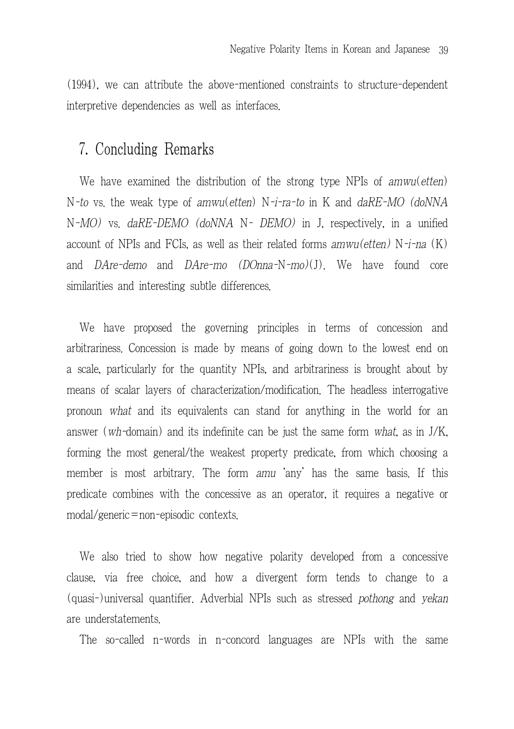(1994), we can attribute the above-mentioned constraints to structure-dependent interpretive dependencies as well as interfaces.

## 7. Concluding Remarks

We have examined the distribution of the strong type NPIs of amwu(etten) N-to vs. the weak type of amwu(etten) N-i-ra-to in K and daRE-MO (doNNA N-MO) vs. daRE-DEMO (doNNA N- DEMO) in J, respectively, in a unified account of NPIs and FCIs, as well as their related forms  $amwu(eq)$  N-i-na  $(K)$ and *DAre-demo* and *DAre-mo (DOnna-N-mo)(J)*. We have found core similarities and interesting subtle differences.

We have proposed the governing principles in terms of concession and arbitrariness. Concession is made by means of going down to the lowest end on a scale, particularly for the quantity NPIs, and arbitrariness is brought about by means of scalar layers of characterization/modification. The headless interrogative pronoun what and its equivalents can stand for anything in the world for an answer (wh-domain) and its indefinite can be just the same form what, as in J/K, forming the most general/the weakest property predicate, from which choosing a member is most arbitrary. The form amu 'any' has the same basis. If this predicate combines with the concessive as an operator, it requires a negative or modal/generic=non-episodic contexts.

We also tried to show how negative polarity developed from a concessive clause, via free choice, and how a divergent form tends to change to a (quasi-)universal quantifier. Adverbial NPIs such as stressed pothong and yekan are understatements.

The so-called n-words in n-concord languages are NPIs with the same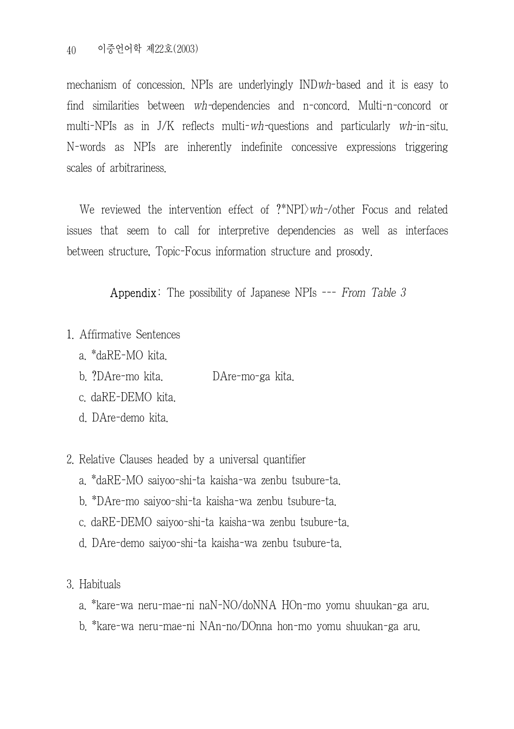mechanism of concession. NPIs are underlyingly INDwh-based and it is easy to find similarities between wh-dependencies and n-concord. Multi-n-concord or multi-NPIs as in J/K reflects multi-wh-questions and particularly wh-in-situ. N-words as NPIs are inherently indefinite concessive expressions triggering scales of arbitrariness.

We reviewed the intervention effect of  $?^*NPI\rangle wh$ -/other Focus and related issues that seem to call for interpretive dependencies as well as interfaces between structure, Topic-Focus information structure and prosody.

Appendix: The possibility of Japanese NPIs --- From Table 3

- 1. Affirmative Sentences
	- a. \*daRE-MO kita.
	- b. ?DAre-mo kita. DAre-mo-ga kita.
	- c. daRE-DEMO kita.
	- d. DAre-demo kita.
- 2. Relative Clauses headed by a universal quantifier
	- a. \*daRE-MO saiyoo-shi-ta kaisha-wa zenbu tsubure-ta.
	- b. \*DAre-mo saiyoo-shi-ta kaisha-wa zenbu tsubure-ta.
	- c. daRE-DEMO saiyoo-shi-ta kaisha-wa zenbu tsubure-ta.
	- d. DAre-demo saiyoo-shi-ta kaisha-wa zenbu tsubure-ta.
- 3. Habituals
	- a. \*kare-wa neru-mae-ni naN-NO/doNNA HOn-mo yomu shuukan-ga aru.
	- b. \*kare-wa neru-mae-ni NAn-no/DOnna hon-mo yomu shuukan-ga aru.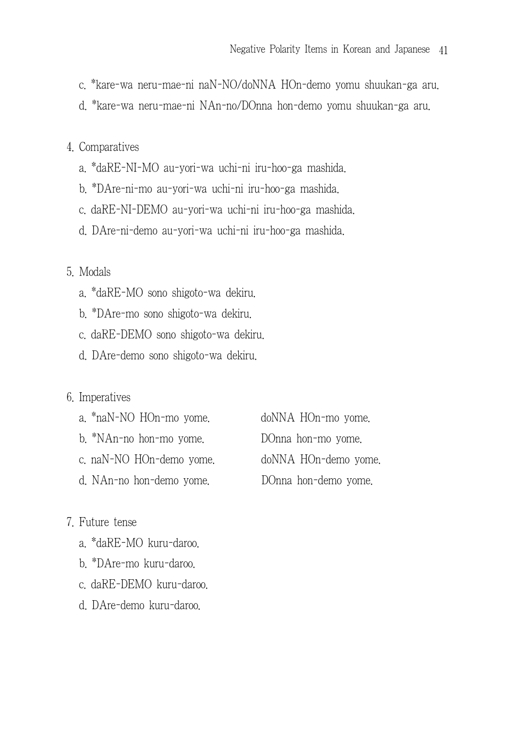- c. \*kare-wa neru-mae-ni naN-NO/doNNA HOn-demo yomu shuukan-ga aru.
- d. \*kare-wa neru-mae-ni NAn-no/DOnna hon-demo yomu shuukan-ga aru.

### 4. Comparatives

- a. \*daRE-NI-MO au-yori-wa uchi-ni iru-hoo-ga mashida.
- b. \*DAre-ni-mo au-yori-wa uchi-ni iru-hoo-ga mashida.
- c. daRE-NI-DEMO au-yori-wa uchi-ni iru-hoo-ga mashida.
- d. DAre-ni-demo au-yori-wa uchi-ni iru-hoo-ga mashida.

## 5. Modals

- a. \*daRE-MO sono shigoto-wa dekiru.
- b. \*DAre-mo sono shigoto-wa dekiru.
- c. daRE-DEMO sono shigoto-wa dekiru.
- d. DAre-demo sono shigoto-wa dekiru.

### 6. Imperatives

- a. \*naN-NO HOn-mo yome. doNNA HOn-mo yome.
- b. \*NAn-no hon-mo yome. DOnna hon-mo yome.
- 
- 

c. naN-NO HOn-demo yome. doNNA HOn-demo yome. d. NAn-no hon-demo yome. DOnna hon-demo yome.

#### 7. Future tense

- a. \*daRE-MO kuru-daroo.
- b. \*DAre-mo kuru-daroo.
- c. daRE-DEMO kuru-daroo.
- d. DAre-demo kuru-daroo.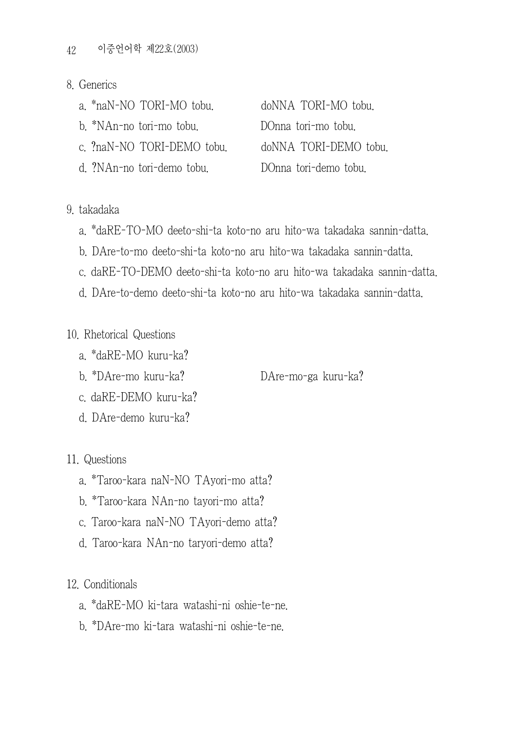- 8. Generics
	- a. \*naN-NO TORI-MO tobu. doNNA TORI-MO tobu.
	- b. \*NAn-no tori-mo tobu. DOnna tori-mo tobu.
	- c. ?naN-NO TORI-DEMO tobu. doNNA TORI-DEMO tobu.
	- d. ?NAn-no tori-demo tobu. DOnna tori-demo tobu.

- 9. takadaka
	- a. \*daRE-TO-MO deeto-shi-ta koto-no aru hito-wa takadaka sannin-datta.
	- b. DAre-to-mo deeto-shi-ta koto-no aru hito-wa takadaka sannin-datta.
	- c. daRE-TO-DEMO deeto-shi-ta koto-no aru hito-wa takadaka sannin-datta.
	- d. DAre-to-demo deeto-shi-ta koto-no aru hito-wa takadaka sannin-datta.

### 10. Rhetorical Questions

- a. \*daRE-MO kuru-ka?
- b. \*DAre-mo kuru-ka? DAre-mo-ga kuru-ka?

- c. daRE-DEMO kuru-ka?
- d. DAre-demo kuru-ka?

11. Questions

- a. \*Taroo-kara naN-NO TAyori-mo atta?
- b. \*Taroo-kara NAn-no tayori-mo atta?
- c. Taroo-kara naN-NO TAyori-demo atta?
- d. Taroo-kara NAn-no taryori-demo atta?

12. Conditionals

- a. \*daRE-MO ki-tara watashi-ni oshie-te-ne.
- b. \*DAre-mo ki-tara watashi-ni oshie-te-ne.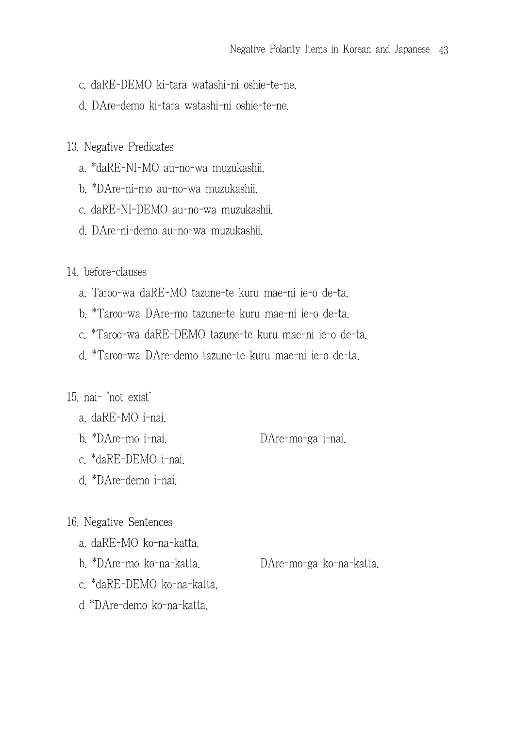- c. daRE-DEMO ki-tara watashi-ni oshie-te-ne.
- d. DAre-demo ki-tara watashi-ni oshie-te-ne.
- 13. Negative Predicates
	- a. \*daRE-NI-MO au-no-wa muzukashii.
	- b. \*DAre-ni-mo au-no-wa muzukashii.
	- c. daRE-NI-DEMO au-no-wa muzukashii.
	- d. DAre-ni-demo au-no-wa muzukashii.

14. before-clauses

- a. Taroo-wa daRE-MO tazune-te kuru mae-ni ie-o de-ta.
- b. \*Taroo-wa DAre-mo tazune-te kuru mae-ni ie-o de-ta.
- c. \*Taroo-wa daRE-DEMO tazune-te kuru mae-ni ie-o de-ta.
- d. \*Taroo-wa DAre-demo tazune-te kuru mae-ni ie-o de-ta.

#### 15. nai- 'not exist'

- a. daRE-MO i-nai.
- b. \*DAre-mo i-nai. DAre-mo-ga i-nai.
- c. \*daRE-DEMO i-nai.
- d. \*DAre-demo i-nai.

#### 16. Negative Sentences

- a. daRE-MO ko-na-katta.
- b. \*DAre-mo ko-na-katta. DAre-mo-ga ko-na-katta.
- c. \*daRE-DEMO ko-na-katta.
- d \*DAre-demo ko-na-katta.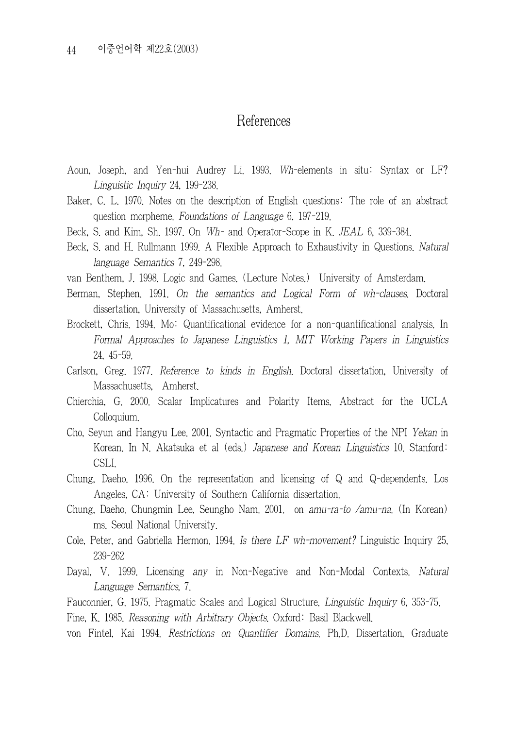## References

- Aoun, Joseph, and Yen-hui Audrey Li. 1993. Wh-elements in situ: Syntax or LF? Linguistic Inquiry 24, 199-238.
- Baker, C. L. 1970. Notes on the description of English questions: The role of an abstract question morpheme. Foundations of Language 6, 197-219.
- Beck, S. and Kim, Sh. 1997. On Wh- and Operator-Scope in K. JEAL 6, 339-384.
- Beck, S. and H. Rullmann 1999. A Flexible Approach to Exhaustivity in Questions. Natural language Semantics 7, 249-298.
- van Benthem, J. 1998. Logic and Games. (Lecture Notes.) University of Amsterdam.
- Berman, Stephen. 1991. On the semantics and Logical Form of wh-clauses. Doctoral dissertation, University of Massachusetts, Amherst.
- Brockett, Chris. 1994. Mo: Quantificational evidence for a non-quantificational analysis. In Formal Approaches to Japanese Linguistics 1, MIT Working Papers in Linguistics 24, 45-59.
- Carlson, Greg. 1977. Reference to kinds in English. Doctoral dissertation, University of Massachusetts, Amherst.
- Chierchia, G. 2000. Scalar Implicatures and Polarity Items, Abstract for the UCLA Colloquium.
- Cho, Seyun and Hangyu Lee. 2001. Syntactic and Pragmatic Properties of the NPI Yekan in Korean. In N. Akatsuka et al (eds.) Japanese and Korean Linguistics 10. Stanford: CSLI.
- Chung, Daeho. 1996. On the representation and licensing of Q and Q-dependents. Los Angeles, CA: University of Southern California dissertation.
- Chung, Daeho. Chungmin Lee, Seungho Nam. 2001. on amu-ra-to /amu-na. (In Korean) ms. Seoul National University.
- Cole, Peter, and Gabriella Hermon. 1994. Is there  $LF$  wh-movement? Linguistic Inquiry 25, 239-262
- Dayal, V. 1999. Licensing any in Non-Negative and Non-Modal Contexts. Natural Language Semantics, 7.

Fauconnier, G. 1975. Pragmatic Scales and Logical Structure. Linguistic Inquiry 6, 353-75.

Fine, K. 1985. Reasoning with Arbitrary Objects. Oxford: Basil Blackwell.

von Fintel, Kai 1994. Restrictions on Quantifier Domains. Ph.D. Dissertation, Graduate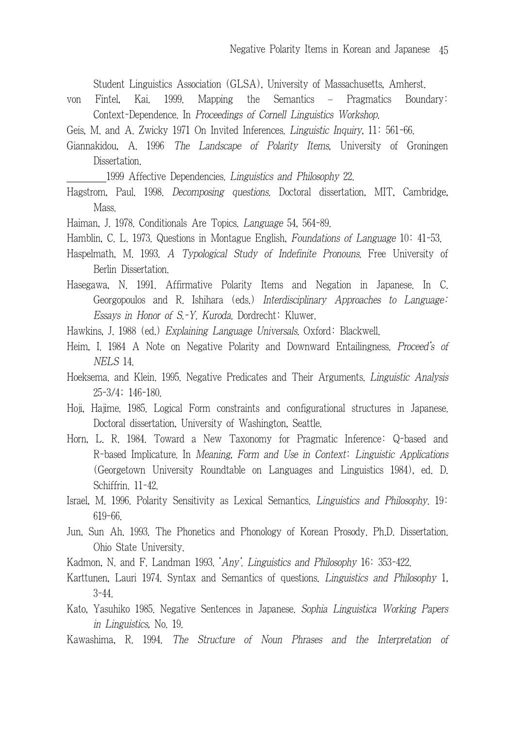Student Linguistics Association (GLSA), University of Massachusetts, Amherst.

- von Fintel, Kai. 1999. Mapping the Semantics Pragmatics Boundary: Context-Dependence. In Proceedings of Cornell Linguistics Workshop.
- Geis, M. and A. Zwicky 1971 On Invited Inferences. Linguistic Inquiry, 11: 561-66.
- Giannakidou, A. 1996 The Landscape of Polarity Items, University of Groningen Dissertation.

1999 Affective Dependencies. Linguistics and Philosophy 22.

- Hagstrom, Paul. 1998. Decomposing questions. Doctoral dissertation, MIT, Cambridge, Mass.
- Haiman, J. 1978. Conditionals Are Topics. Language 54, 564-89.
- Hamblin, C. L. 1973. Questions in Montague English, Foundations of Language 10: 41-53.
- Haspelmath, M. 1993. A Typological Study of Indefinite Pronouns. Free University of Berlin Dissertation.
- Hasegawa, N. 1991. Affirmative Polarity Items and Negation in Japanese. In C. Georgopoulos and R. Ishihara (eds.) Interdisciplinary Approaches to Language: Essays in Honor of S.-Y. Kuroda. Dordrecht: Kluwer.
- Hawkins, J. 1988 (ed.) Explaining Language Universals. Oxford: Blackwell.
- Heim, I. 1984 A Note on Negative Polarity and Downward Entailingness. Proceed's of NELS 14.
- Hoeksema. and Klein. 1995. Negative Predicates and Their Arguments. Linguistic Analysis 25-3/4; 146-180.
- Hoji, Hajime. 1985. Logical Form constraints and configurational structures in Japanese. Doctoral dissertation, University of Washington, Seattle.
- Horn, L. R. 1984. Toward a New Taxonomy for Pragmatic Inference: Q-based and R-based Implicature. In Meaning, Form and Use in Context: Linguistic Applications (Georgetown University Roundtable on Languages and Linguistics 1984), ed. D. Schiffrin. 11-42.
- Israel, M. 1996. Polarity Sensitivity as Lexical Semantics. Linguistics and Philosophy. 19: 619-66.
- Jun, Sun Ah. 1993. The Phonetics and Phonology of Korean Prosody. Ph.D. Dissertation. Ohio State University.
- Kadmon, N. and F. Landman 1993. 'Any'. Linguistics and Philosophy 16: 353-422.
- Karttunen, Lauri 1974. Syntax and Semantics of questions. Linguistics and Philosophy 1, 3-44.
- Kato, Yasuhiko 1985. Negative Sentences in Japanese. Sophia Linguistica Working Papers in Linguistics, No. 19.
- Kawashima, R. 1994. The Structure of Noun Phrases and the Interpretation of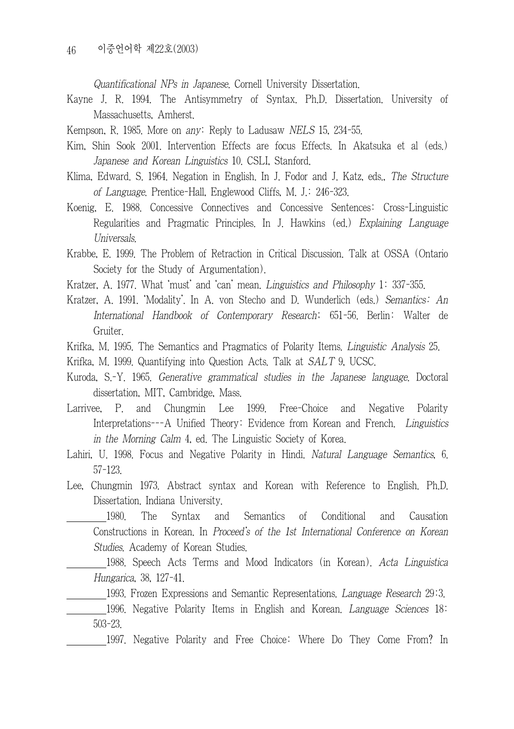Quantificational NPs in Japanese. Cornell University Dissertation.

- Kayne J. R. 1994. The Antisymmetry of Syntax. Ph.D. Dissertation. University of Massachusetts, Amherst.
- Kempson, R. 1985. More on *any*: Reply to Ladusaw NELS 15, 234-55.
- Kim, Shin Sook 2001. Intervention Effects are focus Effects. In Akatsuka et al (eds.) Japanese and Korean Linguistics 10. CSLI, Stanford.
- Klima, Edward. S. 1964. Negation in English. In J. Fodor and J. Katz, eds., The Structure of Language. Prentice-Hall, Englewood Cliffs, M. J.: 246-323.
- Koenig, E. 1988. Concessive Connectives and Concessive Sentences: Cross-Linguistic Regularities and Pragmatic Principles. In J. Hawkins (ed.) Explaining Language Universals.
- Krabbe, E. 1999. The Problem of Retraction in Critical Discussion. Talk at OSSA (Ontario Society for the Study of Argumentation).
- Kratzer, A. 1977. What 'must' and 'can' mean. Linguistics and Philosophy 1: 337-355.
- Kratzer, A. 1991. 'Modality'. In A. von Stecho and D. Wunderlich (eds.) Semantics: An International Handbook of Contemporary Research; 651-56. Berlin: Walter de Gruiter.
- Krifka, M. 1995. The Semantics and Pragmatics of Polarity Items. Linguistic Analysis 25.
- Krifka, M. 1999. Quantifying into Question Acts. Talk at SALT 9, UCSC.
- Kuroda, S.-Y. 1965. Generative grammatical studies in the Japanese language. Doctoral dissertation, MIT, Cambridge, Mass.
- Larrivee, P. and Chungmin Lee 1999. Free-Choice and Negative Polarity Interpretations---A Unified Theory: Evidence from Korean and French. Linguistics in the Morning Calm 4, ed. The Linguistic Society of Korea.
- Lahiri, U. 1998. Focus and Negative Polarity in Hindi. Natural Language Semantics, 6. 57-123.
- Lee, Chungmin 1973. Abstract syntax and Korean with Reference to English. Ph.D. Dissertation. Indiana University.

 1980. The Syntax and Semantics of Conditional and Causation Constructions in Korean. In Proceed's of the 1st International Conference on Korean Studies. Academy of Korean Studies.

 1988. Speech Acts Terms and Mood Indicators (in Korean). Acta Linguistica Hungarica, 38, 127-41.

1993. Frozen Expressions and Semantic Representations. Language Research 29:3.

 1996. Negative Polarity Items in English and Korean. Language Sciences 18: 503-23.

1997. Negative Polarity and Free Choice: Where Do They Come From? In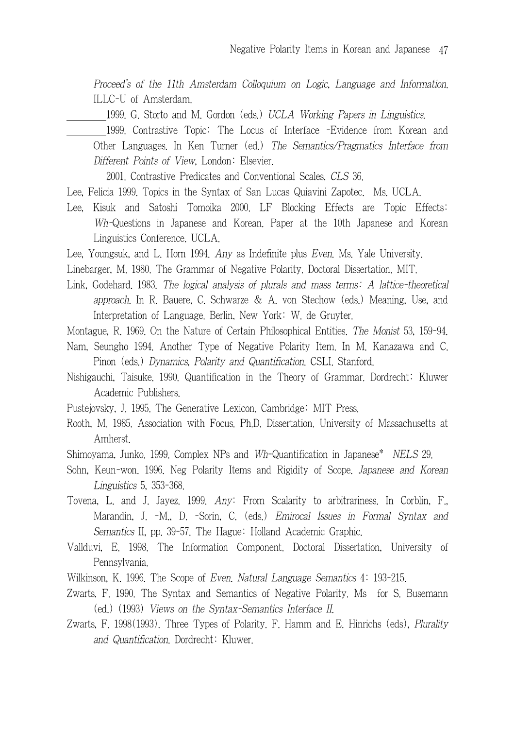Proceed's of the 11th Amsterdam Colloquium on Logic, Language and Information. ILLC-U of Amsterdam.

1999. G. Storto and M. Gordon (eds.) UCLA Working Papers in Linguistics.

 1999. Contrastive Topic: The Locus of Interface -Evidence from Korean and Other Languages. In Ken Turner (ed.) The Semantics/Pragmatics Interface from Different Points of View, London: Elsevier.

2001. Contrastive Predicates and Conventional Scales, CLS 36.

- Lee, Felicia 1999. Topics in the Syntax of San Lucas Quiavini Zapotec. Ms. UCLA.
- Lee, Kisuk and Satoshi Tomoika 2000. LF Blocking Effects are Topic Effects: Wh-Questions in Japanese and Korean. Paper at the 10th Japanese and Korean Linguistics Conference. UCLA.

Lee, Youngsuk, and L. Horn 1994. Any as Indefinite plus Even. Ms. Yale University.

Linebarger, M. 1980. The Grammar of Negative Polarity. Doctoral Dissertation. MIT.

Link, Godehard. 1983. The logical analysis of plurals and mass terms: A lattice-theoretical approach. In R. Bauere, C. Schwarze & A. von Stechow (eds.) Meaning, Use, and Interpretation of Language. Berlin, New York: W. de Gruyter.

Montague, R. 1969. On the Nature of Certain Philosophical Entities. The Monist 53, 159-94.

- Nam, Seungho 1994. Another Type of Negative Polarity Item. In M. Kanazawa and C. Pinon (eds.) Dynamics, Polarity and Quantification. CSLI. Stanford.
- Nishigauchi, Taisuke. 1990. Quantification in the Theory of Grammar. Dordrecht: Kluwer Academic Publishers.

Pustejovsky, J. 1995. The Generative Lexicon. Cambridge: MIT Press.

Rooth, M. 1985. Association with Focus. Ph.D. Dissertation. University of Massachusetts at Amherst.

Shimoyama, Junko. 1999. Complex NPs and Wh-Quantification in Japanese\* NELS 29.

- Sohn, Keun-won. 1996. Neg Polarity Items and Rigidity of Scope. Japanese and Korean Linguistics 5, 353-368.
- Tovena, L. and J. Jayez. 1999. Any: From Scalarity to arbitrariness. In Corblin, F., Marandin, J. -M., D. -Sorin, C. (eds.) Emirocal Issues in Formal Syntax and Semantics II, pp. 39-57. The Hague: Holland Academic Graphic.
- Vallduvi, E. 1998. The Information Component. Doctoral Dissertation, University of Pennsylvania.
- Wilkinson, K. 1996. The Scope of Even. Natural Language Semantics 4: 193-215.
- Zwarts, F. 1990. The Syntax and Semantics of Negative Polarity. Ms for S. Busemann (ed.) (1993) Views on the Syntax-Semantics Interface II.
- Zwarts, F. 1998(1993). Three Types of Polarity. F. Hamm and E. Hinrichs (eds), Plurality and Quantification. Dordrecht: Kluwer.